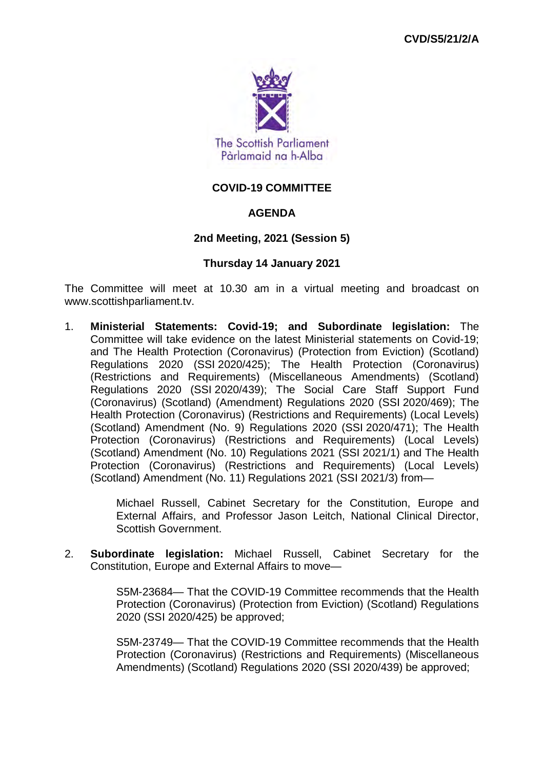

# **COVID-19 COMMITTEE**

# **AGENDA**

# **2nd Meeting, 2021 (Session 5)**

## **Thursday 14 January 2021**

The Committee will meet at 10.30 am in a virtual meeting and broadcast on www.scottishparliament.tv.

1. **Ministerial Statements: Covid-19; and Subordinate legislation:** The Committee will take evidence on the latest Ministerial statements on Covid-19; and The Health Protection (Coronavirus) (Protection from Eviction) (Scotland) Regulations 2020 (SSI 2020/425); The Health Protection (Coronavirus) (Restrictions and Requirements) (Miscellaneous Amendments) (Scotland) Regulations 2020 (SSI 2020/439); The Social Care Staff Support Fund (Coronavirus) (Scotland) (Amendment) Regulations 2020 (SSI 2020/469); The Health Protection (Coronavirus) (Restrictions and Requirements) (Local Levels) (Scotland) Amendment (No. 9) Regulations 2020 (SSI 2020/471); The Health Protection (Coronavirus) (Restrictions and Requirements) (Local Levels) (Scotland) Amendment (No. 10) Regulations 2021 (SSI 2021/1) and The Health Protection (Coronavirus) (Restrictions and Requirements) (Local Levels) (Scotland) Amendment (No. 11) Regulations 2021 (SSI 2021/3) from—

> Michael Russell, Cabinet Secretary for the Constitution, Europe and External Affairs, and Professor Jason Leitch, National Clinical Director, Scottish Government.

2. **Subordinate legislation:** Michael Russell, Cabinet Secretary for the Constitution, Europe and External Affairs to move—

> S5M-23684— That the COVID-19 Committee recommends that the Health Protection (Coronavirus) (Protection from Eviction) (Scotland) Regulations 2020 (SSI 2020/425) be approved;

> S5M-23749— That the COVID-19 Committee recommends that the Health Protection (Coronavirus) (Restrictions and Requirements) (Miscellaneous Amendments) (Scotland) Regulations 2020 (SSI 2020/439) be approved;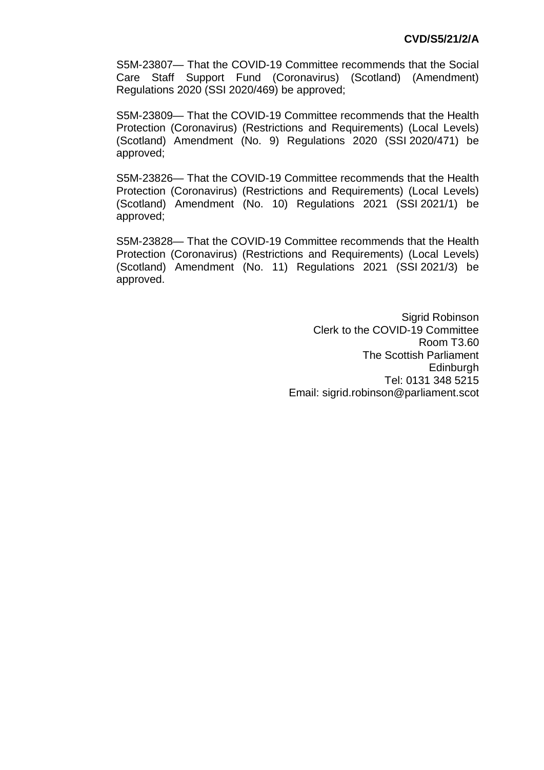S5M-23807— That the COVID-19 Committee recommends that the Social Care Staff Support Fund (Coronavirus) (Scotland) (Amendment) Regulations 2020 (SSI 2020/469) be approved;

S5M-23809— That the COVID-19 Committee recommends that the Health Protection (Coronavirus) (Restrictions and Requirements) (Local Levels) (Scotland) Amendment (No. 9) Regulations 2020 (SSI 2020/471) be approved;

S5M-23826— That the COVID-19 Committee recommends that the Health Protection (Coronavirus) (Restrictions and Requirements) (Local Levels) (Scotland) Amendment (No. 10) Regulations 2021 (SSI 2021/1) be approved;

S5M-23828— That the COVID-19 Committee recommends that the Health Protection (Coronavirus) (Restrictions and Requirements) (Local Levels) (Scotland) Amendment (No. 11) Regulations 2021 (SSI 2021/3) be approved.

> Sigrid Robinson Clerk to the COVID-19 Committee Room T3.60 The Scottish Parliament Edinburgh Tel: 0131 348 5215 Email: sigrid.robinson@parliament.scot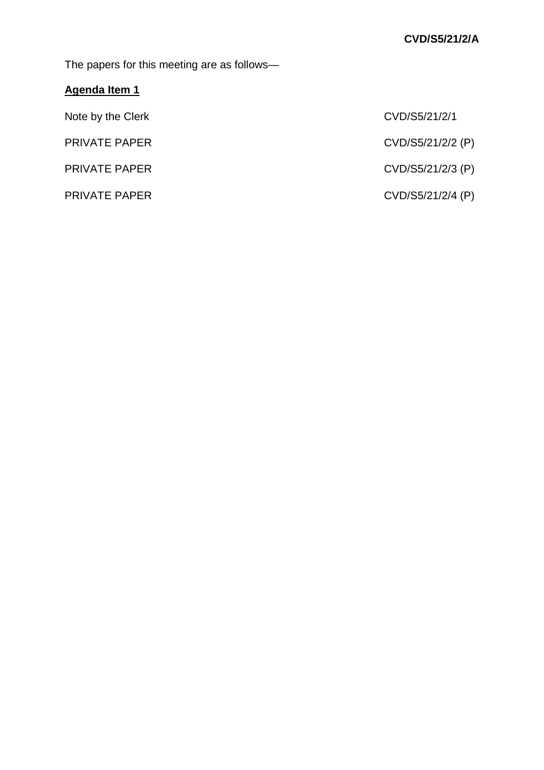The papers for this meeting are as follows—

# **Agenda Item 1**

| Note by the Clerk | CVD/S5/21/2/1     |
|-------------------|-------------------|
| PRIVATE PAPER     | CVD/S5/21/2/2 (P) |
| PRIVATE PAPER     | CVD/S5/21/2/3 (P) |
| PRIVATE PAPER     | CVD/S5/21/2/4 (P) |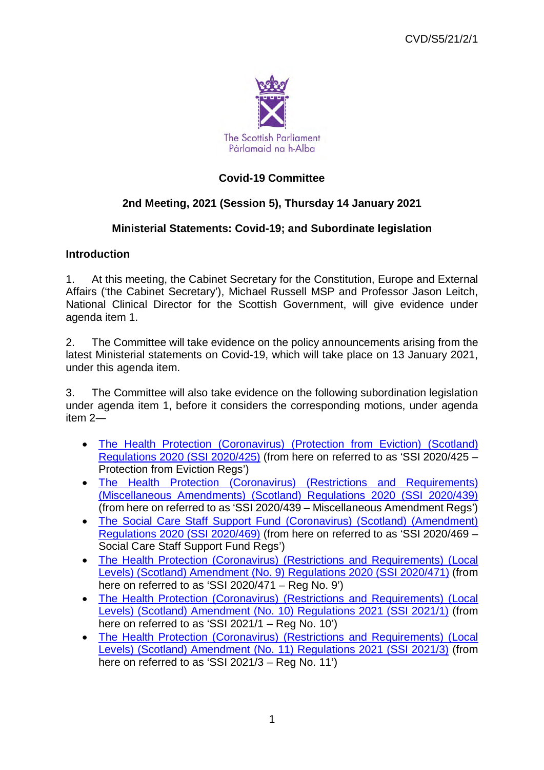

# **Covid-19 Committee**

# **2nd Meeting, 2021 (Session 5), Thursday 14 January 2021**

# **Ministerial Statements: Covid-19; and Subordinate legislation**

# **Introduction**

1. At this meeting, the Cabinet Secretary for the Constitution, Europe and External Affairs ('the Cabinet Secretary'), Michael Russell MSP and Professor Jason Leitch, National Clinical Director for the Scottish Government, will give evidence under agenda item 1.

2. The Committee will take evidence on the policy announcements arising from the latest Ministerial statements on Covid-19, which will take place on 13 January 2021, under this agenda item.

3. The Committee will also take evidence on the following subordination legislation under agenda item 1, before it considers the corresponding motions, under agenda item 2―

- [The Health Protection \(Coronavirus\) \(Protection from Eviction\) \(Scotland\)](https://www.legislation.gov.uk/ssi/2020/425/made/data.pdf)  [Regulations 2020 \(SSI 2020/425\)](https://www.legislation.gov.uk/ssi/2020/425/made/data.pdf) (from here on referred to as 'SSI 2020/425 – Protection from Eviction Regs')
- [The Health Protection \(Coronavirus\) \(Restrictions and Requirements\)](https://www.legislation.gov.uk/ssi/2020/439/contents/made)  [\(Miscellaneous Amendments\) \(Scotland\) Regulations 2020 \(SSI 2020/439\)](https://www.legislation.gov.uk/ssi/2020/439/contents/made) (from here on referred to as 'SSI 2020/439 – Miscellaneous Amendment Regs')
- [The Social Care Staff Support Fund \(Coronavirus\) \(Scotland\) \(Amendment\)](https://www.legislation.gov.uk/ssi/2020/469/made/data.pdf)  [Regulations 2020 \(SSI 2020/469\)](https://www.legislation.gov.uk/ssi/2020/469/made/data.pdf) (from here on referred to as 'SSI 2020/469 – Social Care Staff Support Fund Regs')
- The Health Protection [\(Coronavirus\) \(Restrictions and Requirements\) \(Local](https://www.legislation.gov.uk/ssi/2020/471/made/data.pdf)  [Levels\) \(Scotland\) Amendment \(No. 9\) Regulations 2020 \(SSI 2020/471\)](https://www.legislation.gov.uk/ssi/2020/471/made/data.pdf) (from here on referred to as 'SSI 2020/471 – Reg No. 9')
- [The Health Protection \(Coronavirus\) \(Restrictions and Requirements\) \(Local](https://www.legislation.gov.uk/ssi/2021/1/made/data.pdf)  Levels) (Scotland) [Amendment \(No. 10\) Regulations 2021 \(SSI 2021/1\)](https://www.legislation.gov.uk/ssi/2021/1/made/data.pdf) (from here on referred to as 'SSI 2021/1 – Reg No. 10')
- [The Health Protection \(Coronavirus\) \(Restrictions and Requirements\) \(Local](https://www.legislation.gov.uk/ssi/2021/3/made/data.pdf)  [Levels\) \(Scotland\) Amendment \(No. 11\) Regulations 2021 \(SSI 2021/3\)](https://www.legislation.gov.uk/ssi/2021/3/made/data.pdf) (from here on referred to as 'SSI 2021/3 – Reg No. 11')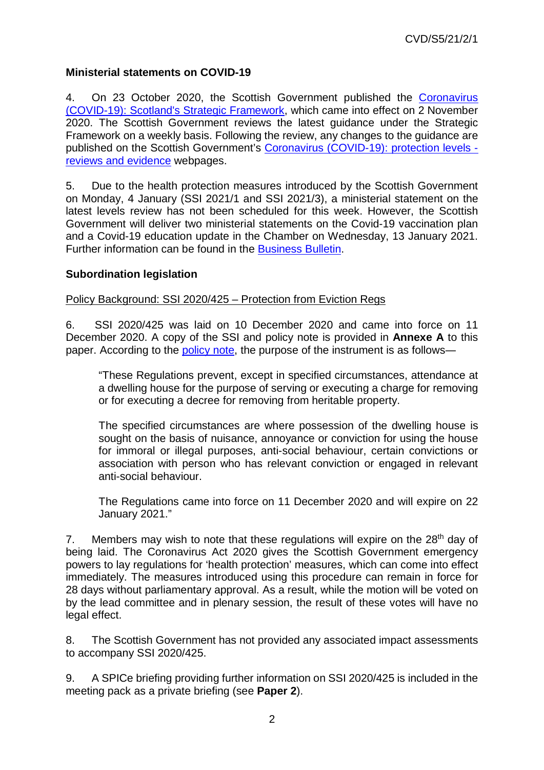# **Ministerial statements on COVID-19**

4. On 23 October 2020, the Scottish Government published the Coronavirus [\(COVID-19\): Scotland's Strategic Framework,](https://www.gov.scot/publications/covid-19-scotlands-strategic-framework/) which came into effect on 2 November 2020. The Scottish Government reviews the latest guidance under the Strategic Framework on a weekly basis. Following the review, any changes to the guidance are published on the Scottish Government's [Coronavirus \(COVID-19\): protection levels](https://www.gov.scot/collections/coronavirus-covid-19-protection-levels-reviews-and-evidence/)  [reviews and evidence](https://www.gov.scot/collections/coronavirus-covid-19-protection-levels-reviews-and-evidence/) webpages.

5. Due to the health protection measures introduced by the Scottish Government on Monday, 4 January (SSI 2021/1 and SSI 2021/3), a ministerial statement on the latest levels review has not been scheduled for this week. However, the Scottish Government will deliver two ministerial statements on the Covid-19 vaccination plan and a Covid-19 education update in the Chamber on Wednesday, 13 January 2021. Further information can be found in the [Business Bulletin.](https://bb.parliament.scot/#20210113)

# **Subordination legislation**

## Policy Background: SSI 2020/425 – Protection from Eviction Regs

6. SSI 2020/425 was laid on 10 December 2020 and came into force on 11 December 2020. A copy of the SSI and policy note is provided in **Annexe A** to this paper. According to the [policy note,](https://www.legislation.gov.uk/ssi/2020/425/pdfs/ssipn_20200425_en.pdf) the purpose of the instrument is as follows—

"These Regulations prevent, except in specified circumstances, attendance at a dwelling house for the purpose of serving or executing a charge for removing or for executing a decree for removing from heritable property.

The specified circumstances are where possession of the dwelling house is sought on the basis of nuisance, annoyance or conviction for using the house for immoral or illegal purposes, anti-social behaviour, certain convictions or association with person who has relevant conviction or engaged in relevant anti-social behaviour.

The Regulations came into force on 11 December 2020 and will expire on 22 January 2021."

7. Members may wish to note that these regulations will expire on the  $28<sup>th</sup>$  day of being laid. The Coronavirus Act 2020 gives the Scottish Government emergency powers to lay regulations for 'health protection' measures, which can come into effect immediately. The measures introduced using this procedure can remain in force for 28 days without parliamentary approval. As a result, while the motion will be voted on by the lead committee and in plenary session, the result of these votes will have no legal effect.

8. The Scottish Government has not provided any associated impact assessments to accompany SSI 2020/425.

9. A SPICe briefing providing further information on SSI 2020/425 is included in the meeting pack as a private briefing (see **Paper 2**).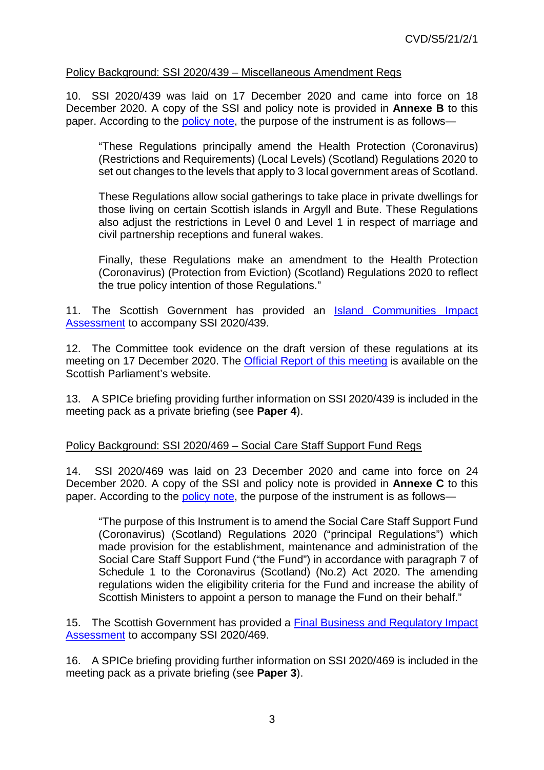# Policy Background: SSI 2020/439 – Miscellaneous Amendment Regs

10. SSI 2020/439 was laid on 17 December 2020 and came into force on 18 December 2020. A copy of the SSI and policy note is provided in **Annexe B** to this paper. According to the [policy note,](https://www.legislation.gov.uk/ssi/2020/439/pdfs/ssipn_20200439_en.pdf) the purpose of the instrument is as follows—

"These Regulations principally amend the Health Protection (Coronavirus) (Restrictions and Requirements) (Local Levels) (Scotland) Regulations 2020 to set out changes to the levels that apply to 3 local government areas of Scotland.

These Regulations allow social gatherings to take place in private dwellings for those living on certain Scottish islands in Argyll and Bute. These Regulations also adjust the restrictions in Level 0 and Level 1 in respect of marriage and civil partnership receptions and funeral wakes.

Finally, these Regulations make an amendment to the Health Protection (Coronavirus) (Protection from Eviction) (Scotland) Regulations 2020 to reflect the true policy intention of those Regulations."

11. The Scottish Government has provided an [Island Communities Impact](https://www.legislation.gov.uk/ssi/2020/439/pdfs/ssiod_20200439_en.pdf)  [Assessment](https://www.legislation.gov.uk/ssi/2020/439/pdfs/ssiod_20200439_en.pdf) to accompany SSI 2020/439.

12. The Committee took evidence on the draft version of these regulations at its meeting on 17 December 2020. The [Official Report of this meeting](http://www.parliament.scot/parliamentarybusiness/report.aspx?r=13029) is available on the Scottish Parliament's website.

13. A SPICe briefing providing further information on SSI 2020/439 is included in the meeting pack as a private briefing (see **Paper 4**).

# Policy Background: SSI 2020/469 – Social Care Staff Support Fund Regs

14. SSI 2020/469 was laid on 23 December 2020 and came into force on 24 December 2020. A copy of the SSI and policy note is provided in **Annexe C** to this paper. According to the [policy note,](https://www.legislation.gov.uk/ssi/2020/469/pdfs/ssipn_20200469_en.pdf) the purpose of the instrument is as follows—

"The purpose of this Instrument is to amend the Social Care Staff Support Fund (Coronavirus) (Scotland) Regulations 2020 ("principal Regulations") which made provision for the establishment, maintenance and administration of the Social Care Staff Support Fund ("the Fund") in accordance with paragraph 7 of Schedule 1 to the Coronavirus (Scotland) (No.2) Act 2020. The amending regulations widen the eligibility criteria for the Fund and increase the ability of Scottish Ministers to appoint a person to manage the Fund on their behalf."

15. The Scottish Government has provided a [Final Business and Regulatory Impact](https://www.legislation.gov.uk/ssi/2020/469/pdfs/ssifia_20200469_en.pdf)  [Assessment](https://www.legislation.gov.uk/ssi/2020/469/pdfs/ssifia_20200469_en.pdf) to accompany SSI 2020/469.

16. A SPICe briefing providing further information on SSI 2020/469 is included in the meeting pack as a private briefing (see **Paper 3**).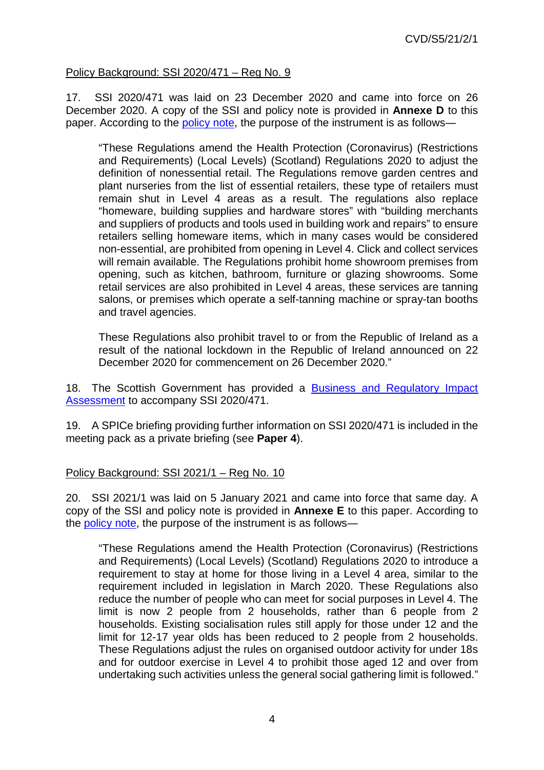# Policy Background: SSI 2020/471 – Reg No. 9

17. SSI 2020/471 was laid on 23 December 2020 and came into force on 26 December 2020. A copy of the SSI and policy note is provided in **Annexe D** to this paper. According to the [policy note,](https://www.legislation.gov.uk/ssi/2020/471/pdfs/ssipn_20200471_en.pdf) the purpose of the instrument is as follows―

"These Regulations amend the Health Protection (Coronavirus) (Restrictions and Requirements) (Local Levels) (Scotland) Regulations 2020 to adjust the definition of nonessential retail. The Regulations remove garden centres and plant nurseries from the list of essential retailers, these type of retailers must remain shut in Level 4 areas as a result. The regulations also replace "homeware, building supplies and hardware stores" with "building merchants and suppliers of products and tools used in building work and repairs" to ensure retailers selling homeware items, which in many cases would be considered non-essential, are prohibited from opening in Level 4. Click and collect services will remain available. The Regulations prohibit home showroom premises from opening, such as kitchen, bathroom, furniture or glazing showrooms. Some retail services are also prohibited in Level 4 areas, these services are tanning salons, or premises which operate a self-tanning machine or spray-tan booths and travel agencies.

These Regulations also prohibit travel to or from the Republic of Ireland as a result of the national lockdown in the Republic of Ireland announced on 22 December 2020 for commencement on 26 December 2020."

18. The Scottish Government has provided a Business and Regulatory Impact [Assessment](https://www.legislation.gov.uk/ssi/2020/471/pdfs/ssifia_20200471_en.pdf) to accompany SSI 2020/471.

19. A SPICe briefing providing further information on SSI 2020/471 is included in the meeting pack as a private briefing (see **Paper 4**).

### Policy Background: SSI 2021/1 – Reg No. 10

20. SSI 2021/1 was laid on 5 January 2021 and came into force that same day. A copy of the SSI and policy note is provided in **Annexe E** to this paper. According to the [policy note,](https://www.legislation.gov.uk/ssi/2021/1/pdfs/ssipn_20210001_en.pdf) the purpose of the instrument is as follows―

"These Regulations amend the Health Protection (Coronavirus) (Restrictions and Requirements) (Local Levels) (Scotland) Regulations 2020 to introduce a requirement to stay at home for those living in a Level 4 area, similar to the requirement included in legislation in March 2020. These Regulations also reduce the number of people who can meet for social purposes in Level 4. The limit is now 2 people from 2 households, rather than 6 people from 2 households. Existing socialisation rules still apply for those under 12 and the limit for 12-17 year olds has been reduced to 2 people from 2 households. These Regulations adjust the rules on organised outdoor activity for under 18s and for outdoor exercise in Level 4 to prohibit those aged 12 and over from undertaking such activities unless the general social gathering limit is followed."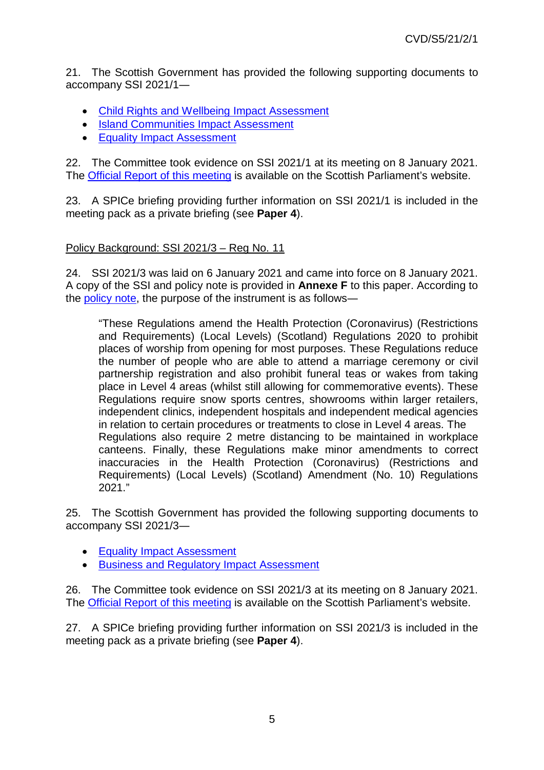21. The Scottish Government has provided the following supporting documents to accompany SSI 2021/1―

- [Child Rights and Wellbeing Impact Assessment](https://www.legislation.gov.uk/ssi/2021/1/pdfs/ssiod_20210001_en.pdf)
- [Island Communities Impact Assessment](https://www.legislation.gov.uk/ssi/2021/1/pdfs/ssiod_20210001_en_001.pdf)
- Equality [Impact Assessment](https://www.legislation.gov.uk/ssi/2021/1/pdfs/ssieqia_20210001_en.pdf)

22. The Committee took evidence on SSI 2021/1 at its meeting on 8 January 2021. The [Official Report of this meeting](http://www.parliament.scot/parliamentarybusiness/report.aspx?r=13043) is available on the Scottish Parliament's website.

23. A SPICe briefing providing further information on SSI 2021/1 is included in the meeting pack as a private briefing (see **Paper 4**).

# Policy Background: SSI 2021/3 – Reg No. 11

24. SSI 2021/3 was laid on 6 January 2021 and came into force on 8 January 2021. A copy of the SSI and policy note is provided in **Annexe F** to this paper. According to the [policy note,](https://www.legislation.gov.uk/ssi/2021/3/pdfs/ssipn_20210003_en.pdf) the purpose of the instrument is as follows―

"These Regulations amend the Health Protection (Coronavirus) (Restrictions and Requirements) (Local Levels) (Scotland) Regulations 2020 to prohibit places of worship from opening for most purposes. These Regulations reduce the number of people who are able to attend a marriage ceremony or civil partnership registration and also prohibit funeral teas or wakes from taking place in Level 4 areas (whilst still allowing for commemorative events). These Regulations require snow sports centres, showrooms within larger retailers, independent clinics, independent hospitals and independent medical agencies in relation to certain procedures or treatments to close in Level 4 areas. The Regulations also require 2 metre distancing to be maintained in workplace canteens. Finally, these Regulations make minor amendments to correct inaccuracies in the Health Protection (Coronavirus) (Restrictions and Requirements) (Local Levels) (Scotland) Amendment (No. 10) Regulations 2021."

25. The Scottish Government has provided the following supporting documents to accompany SSI 2021/3―

- [Equality Impact Assessment](https://www.legislation.gov.uk/ssi/2021/3/pdfs/ssieqia_20210003_en.pdf)
- [Business and Regulatory Impact Assessment](https://www.legislation.gov.uk/ssi/2021/3/pdfs/ssifia_20210003_en.pdf)

26. The Committee took evidence on SSI 2021/3 at its meeting on 8 January 2021. The [Official Report of this meeting](http://www.parliament.scot/parliamentarybusiness/report.aspx?r=13043) is available on the Scottish Parliament's website.

27. A SPICe briefing providing further information on SSI 2021/3 is included in the meeting pack as a private briefing (see **Paper 4**).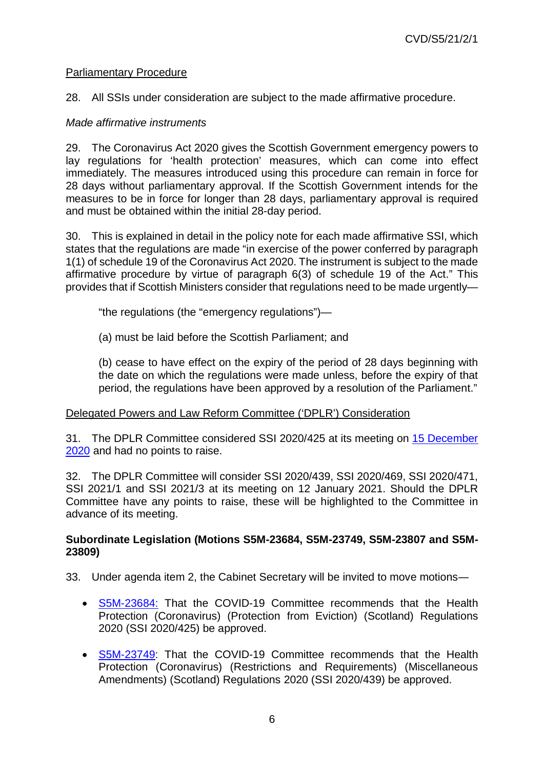# Parliamentary Procedure

28. All SSIs under consideration are subject to the made affirmative procedure.

## *Made affirmative instruments*

29. The Coronavirus Act 2020 gives the Scottish Government emergency powers to lay regulations for 'health protection' measures, which can come into effect immediately. The measures introduced using this procedure can remain in force for 28 days without parliamentary approval. If the Scottish Government intends for the measures to be in force for longer than 28 days, parliamentary approval is required and must be obtained within the initial 28-day period.

30. This is explained in detail in the policy note for each made affirmative SSI, which states that the regulations are made "in exercise of the power conferred by paragraph 1(1) of schedule 19 of the Coronavirus Act 2020. The instrument is subject to the made affirmative procedure by virtue of paragraph 6(3) of schedule 19 of the Act." This provides that if Scottish Ministers consider that regulations need to be made urgently—

"the regulations (the "emergency regulations")—

(a) must be laid before the Scottish Parliament; and

(b) cease to have effect on the expiry of the period of 28 days beginning with the date on which the regulations were made unless, before the expiry of that period, the regulations have been approved by a resolution of the Parliament."

# Delegated Powers and Law Reform Committee ('DPLR') Consideration

31. The DPLR Committee considered SSI 2020/425 at its meeting on [15 December](https://sp-bpr-en-prod-cdnep.azureedge.net/published/DPLR/2020/12/17/c33c874d-8b1e-4458-8e2e-6c8483d9de4d/DPLRS052020R78Rev.pdf)  [2020](https://sp-bpr-en-prod-cdnep.azureedge.net/published/DPLR/2020/12/17/c33c874d-8b1e-4458-8e2e-6c8483d9de4d/DPLRS052020R78Rev.pdf) and had no points to raise.

32. The DPLR Committee will consider SSI 2020/439, SSI 2020/469, SSI 2020/471, SSI 2021/1 and SSI 2021/3 at its meeting on 12 January 2021. Should the DPLR Committee have any points to raise, these will be highlighted to the Committee in advance of its meeting.

# **Subordinate Legislation (Motions S5M-23684, S5M-23749, S5M-23807 and S5M-23809)**

33. Under agenda item 2, the Cabinet Secretary will be invited to move motions―

- [S5M-23684:](https://www.parliament.scot/parliamentarybusiness/28877.aspx?SearchType=Advance&ReferenceNumbers=S5M-23684&ResultsPerPage=10) That the COVID-19 Committee recommends that the Health Protection (Coronavirus) (Protection from Eviction) (Scotland) Regulations 2020 (SSI 2020/425) be approved.
- [S5M-23749:](https://www.parliament.scot/parliamentarybusiness/28877.aspx?SearchType=Advance&ReferenceNumbers=S5M-23749&ResultsPerPage=10) That the COVID-19 Committee recommends that the Health Protection (Coronavirus) (Restrictions and Requirements) (Miscellaneous Amendments) (Scotland) Regulations 2020 (SSI 2020/439) be approved.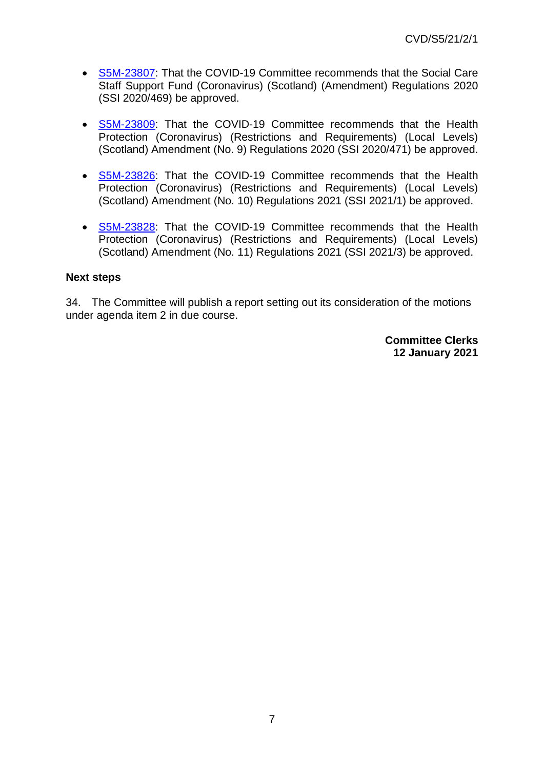- [S5M-23807:](https://www.parliament.scot/parliamentarybusiness/28877.aspx?SearchType=Advance&ReferenceNumbers=S5M-23807&ResultsPerPage=10) That the COVID-19 Committee recommends that the Social Care Staff Support Fund (Coronavirus) (Scotland) (Amendment) Regulations 2020 (SSI 2020/469) be approved.
- [S5M-23809:](https://www.parliament.scot/parliamentarybusiness/28877.aspx?SearchType=Advance&ReferenceNumbers=S5M-23809&ResultsPerPage=10) That the COVID-19 Committee recommends that the Health Protection (Coronavirus) (Restrictions and Requirements) (Local Levels) (Scotland) Amendment (No. 9) Regulations 2020 (SSI 2020/471) be approved.
- [S5M-23826:](https://www.parliament.scot/parliamentarybusiness/28877.aspx?SearchType=Advance&ReferenceNumbers=S5M-23826&ResultsPerPage=10) That the COVID-19 Committee recommends that the Health Protection (Coronavirus) (Restrictions and Requirements) (Local Levels) (Scotland) Amendment (No. 10) Regulations 2021 (SSI 2021/1) be approved.
- [S5M-23828:](https://www.parliament.scot/parliamentarybusiness/28877.aspx?SearchType=Advance&ReferenceNumbers=S5M-23828&ResultsPerPage=10) That the COVID-19 Committee recommends that the Health Protection (Coronavirus) (Restrictions and Requirements) (Local Levels) (Scotland) Amendment (No. 11) Regulations 2021 (SSI 2021/3) be approved.

# **Next steps**

34. The Committee will publish a report setting out its consideration of the motions under agenda item 2 in due course.

> **Committee Clerks 12 January 2021**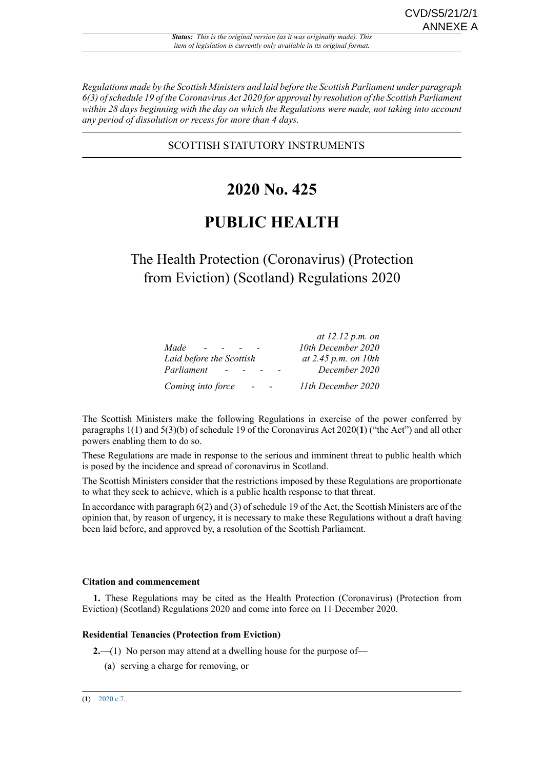*Regulations made by the Scottish Ministers and laid before the Scottish Parliament under paragraph 6(3) of schedule 19 of the Coronavirus Act 2020 for approval by resolution of the Scottish Parliament within 28 days beginning with the day on which the Regulations were made, not taking into account any period of dissolution or recess for more than 4 days.*

## SCOTTISH STATUTORY INSTRUMENTS

# **2020 No. 425**

# **PUBLIC HEALTH**

# The Health Protection (Coronavirus) (Protection from Eviction) (Scotland) Regulations 2020

|                          | at $12.12 p.m.$ on     |
|--------------------------|------------------------|
| Made                     | 10th December 2020     |
| Laid before the Scottish | at 2.45 p.m. on $10th$ |
| Parliament               | December 2020          |
| Coming into force        | 11th December 2020     |

The Scottish Ministers make the following Regulations in exercise of the power conferred by paragraphs 1(1) and 5(3)(b) of schedule 19 of the Coronavirus Act 2020(**1**) ("the Act") and all other powers enabling them to do so.

These Regulations are made in response to the serious and imminent threat to public health which is posed by the incidence and spread of coronavirus in Scotland.

The Scottish Ministers consider that the restrictions imposed by these Regulations are proportionate to what they seek to achieve, which is a public health response to that threat.

In accordance with paragraph 6(2) and (3) of schedule 19 of the Act, the Scottish Ministers are of the opinion that, by reason of urgency, it is necessary to make these Regulations without a draft having been laid before, and approved by, a resolution of the Scottish Parliament.

#### **Citation and commencement**

**1.** These Regulations may be cited as the Health Protection (Coronavirus) (Protection from Eviction) (Scotland) Regulations 2020 and come into force on 11 December 2020.

#### **Residential Tenancies (Protection from Eviction)**

**2.**—(1) No person may attend at a dwelling house for the purpose of—

(a) serving a charge for removing, or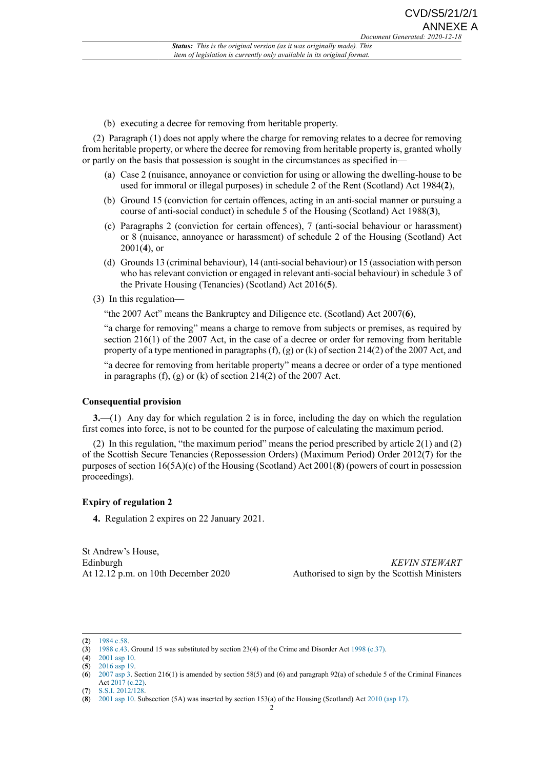(b) executing a decree for removing from heritable property.

(2) Paragraph (1) does not apply where the charge for removing relates to a decree for removing from heritable property, or where the decree for removing from heritable property is, granted wholly or partly on the basis that possession is sought in the circumstances as specified in—

- (a) Case 2 (nuisance, annoyance or conviction for using or allowing the dwelling-house to be used for immoral or illegal purposes) in schedule 2 of the Rent (Scotland) Act 1984(**2**),
- (b) Ground 15 (conviction for certain offences, acting in an anti-social manner or pursuing a course of anti-social conduct) in schedule 5 of the Housing (Scotland) Act 1988(**3**),
- (c) Paragraphs 2 (conviction for certain offences), 7 (anti-social behaviour or harassment) or 8 (nuisance, annoyance or harassment) of schedule 2 of the Housing (Scotland) Act 2001(**4**), or
- (d) Grounds 13 (criminal behaviour), 14 (anti-social behaviour) or 15 (association with person who has relevant conviction or engaged in relevant anti-social behaviour) in schedule 3 of the Private Housing (Tenancies) (Scotland) Act 2016(**5**).
- (3) In this regulation—

"the 2007 Act" means the Bankruptcy and Diligence etc. (Scotland) Act 2007(**6**),

"a charge for removing" means a charge to remove from subjects or premises, as required by section 216(1) of the 2007 Act, in the case of a decree or order for removing from heritable property of a type mentioned in paragraphs (f), (g) or (k) of section 214(2) of the 2007 Act, and

"a decree for removing from heritable property" means a decree or order of a type mentioned in paragraphs  $(f)$ ,  $(g)$  or  $(k)$  of section 214(2) of the 2007 Act.

#### **Consequential provision**

**3.**—(1) Any day for which regulation 2 is in force, including the day on which the regulation first comes into force, is not to be counted for the purpose of calculating the maximum period.

(2) In this regulation, "the maximum period" means the period prescribed by article 2(1) and (2) of the Scottish Secure Tenancies (Repossession Orders) (Maximum Period) Order 2012(**7**) for the purposes of section 16(5A)(c) of the Housing (Scotland) Act 2001(**8**) (powers of court in possession proceedings).

#### **Expiry of regulation 2**

**4.** Regulation 2 expires on 22 January 2021.

St Andrew's House, Edinburgh At 12.12 p.m. on 10th December 2020

*KEVIN STEWART* Authorised to sign by the Scottish Ministers

<sup>(</sup>**2**) [1984 c.58.](http://www.legislation.gov.uk/id/ukpga/1984/58)

<sup>(</sup>**3**) [1988 c.43.](http://www.legislation.gov.uk/id/ukpga/1988/43) Ground 15 was substituted by section 23(4) of the Crime and Disorder Act [1998 \(c.37\)](http://www.legislation.gov.uk/id/ukpga/1998/37).

<sup>(</sup>**4**) [2001 asp 10.](http://www.legislation.gov.uk/id/asp/2001/10)

<sup>(</sup>**5**) [2016 asp 19.](http://www.legislation.gov.uk/id/asp/2016/19)

<sup>(</sup>**6**) [2007 asp 3.](http://www.legislation.gov.uk/id/asp/2007/3) Section 216(1) is amended by section 58(5) and (6) and paragraph 92(a) of schedule 5 of the Criminal Finances Act [2017 \(c.22\)](http://www.legislation.gov.uk/id/ukpga/2017/22).

<sup>(</sup>**7**) [S.S.I. 2012/128.](http://www.legislation.gov.uk/id/ssi/2012/128)

<sup>(</sup>**8**) [2001 asp 10.](http://www.legislation.gov.uk/id/asp/2001/10) Subsection (5A) was inserted by section 153(a) of the Housing (Scotland) Act [2010 \(asp 17\)](http://www.legislation.gov.uk/id/asp/2010/17).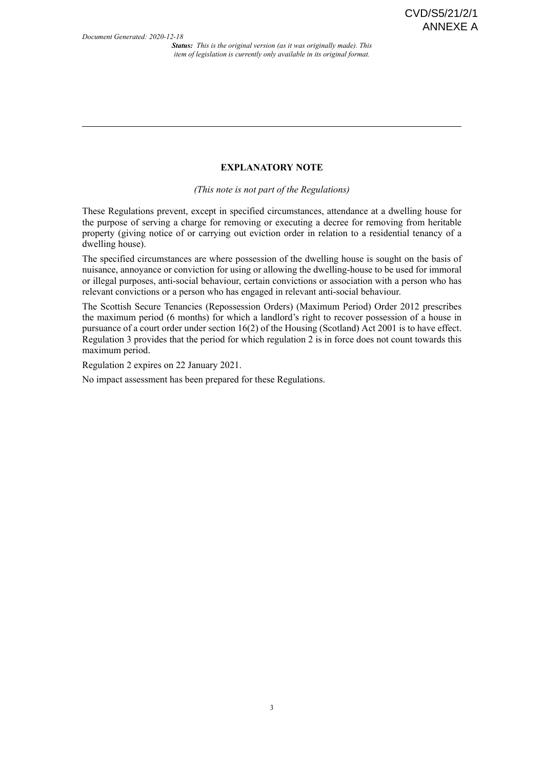#### **EXPLANATORY NOTE**

*(This note is not part of the Regulations)*

These Regulations prevent, except in specified circumstances, attendance at a dwelling house for the purpose of serving a charge for removing or executing a decree for removing from heritable property (giving notice of or carrying out eviction order in relation to a residential tenancy of a dwelling house).

The specified circumstances are where possession of the dwelling house is sought on the basis of nuisance, annoyance or conviction for using or allowing the dwelling-house to be used for immoral or illegal purposes, anti-social behaviour, certain convictions or association with a person who has relevant convictions or a person who has engaged in relevant anti-social behaviour.

The Scottish Secure Tenancies (Repossession Orders) (Maximum Period) Order 2012 prescribes the maximum period (6 months) for which a landlord's right to recover possession of a house in pursuance of a court order under section 16(2) of the Housing (Scotland) Act 2001 is to have effect. Regulation 3 provides that the period for which regulation 2 is in force does not count towards this maximum period.

Regulation 2 expires on 22 January 2021.

No impact assessment has been prepared for these Regulations.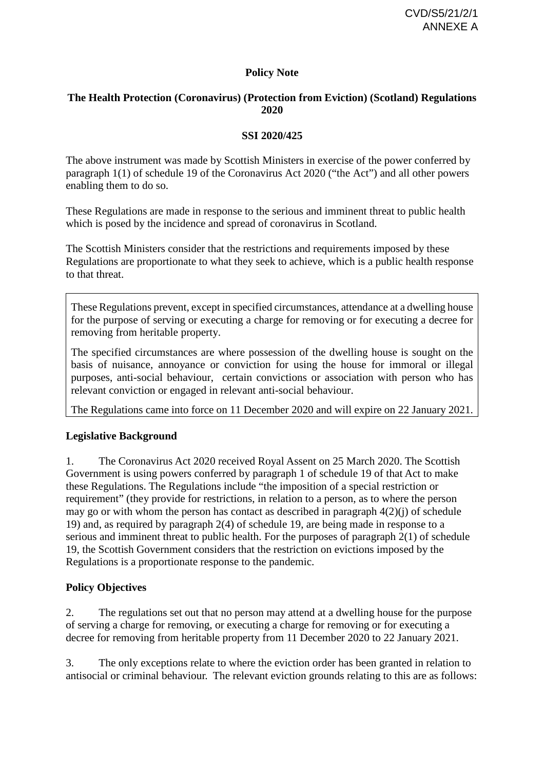# **Policy Note**

# **The Health Protection (Coronavirus) (Protection from Eviction) (Scotland) Regulations 2020**

# **SSI 2020/425**

The above instrument was made by Scottish Ministers in exercise of the power conferred by paragraph 1(1) of schedule 19 of the Coronavirus Act 2020 ("the Act") and all other powers enabling them to do so.

These Regulations are made in response to the serious and imminent threat to public health which is posed by the incidence and spread of coronavirus in Scotland.

The Scottish Ministers consider that the restrictions and requirements imposed by these Regulations are proportionate to what they seek to achieve, which is a public health response to that threat.

These Regulations prevent, except in specified circumstances, attendance at a dwelling house for the purpose of serving or executing a charge for removing or for executing a decree for removing from heritable property.

The specified circumstances are where possession of the dwelling house is sought on the basis of nuisance, annoyance or conviction for using the house for immoral or illegal purposes, anti-social behaviour, certain convictions or association with person who has relevant conviction or engaged in relevant anti-social behaviour.

The Regulations came into force on 11 December 2020 and will expire on 22 January 2021.

# **Legislative Background**

1. The Coronavirus Act 2020 received Royal Assent on 25 March 2020. The Scottish Government is using powers conferred by paragraph 1 of schedule 19 of that Act to make these Regulations. The Regulations include "the imposition of a special restriction or requirement" (they provide for restrictions, in relation to a person, as to where the person may go or with whom the person has contact as described in paragraph 4(2)(j) of schedule 19) and, as required by paragraph 2(4) of schedule 19, are being made in response to a serious and imminent threat to public health. For the purposes of paragraph 2(1) of schedule 19, the Scottish Government considers that the restriction on evictions imposed by the Regulations is a proportionate response to the pandemic.

# **Policy Objectives**

2. The regulations set out that no person may attend at a dwelling house for the purpose of serving a charge for removing, or executing a charge for removing or for executing a decree for removing from heritable property from 11 December 2020 to 22 January 2021.

3. The only exceptions relate to where the eviction order has been granted in relation to antisocial or criminal behaviour. The relevant eviction grounds relating to this are as follows: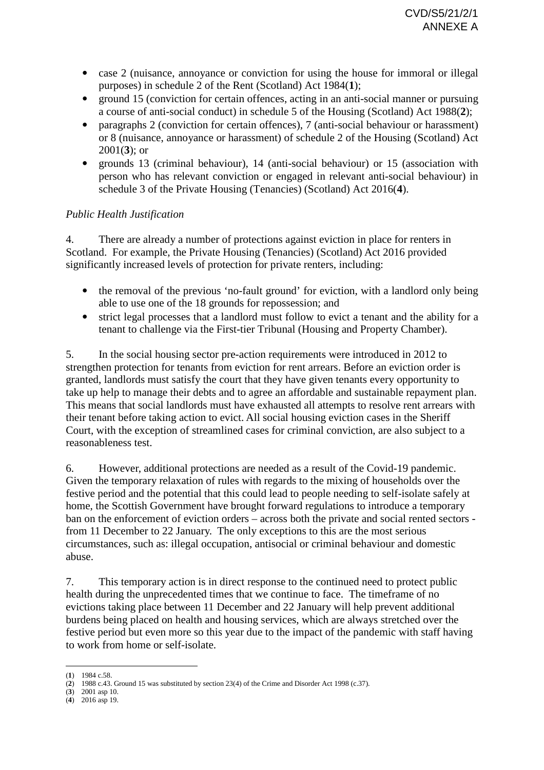- case 2 (nuisance, annoyance or conviction for using the house for immoral or illegal purposes) in schedule 2 of the Rent (Scotland) Act 1984(**1**);
- ground 15 (conviction for certain offences, acting in an anti-social manner or pursuing a course of anti-social conduct) in schedule 5 of the Housing (Scotland) Act 1988(**2**);
- paragraphs 2 (conviction for certain offences), 7 (anti-social behaviour or harassment) or 8 (nuisance, annoyance or harassment) of schedule 2 of the Housing (Scotland) Act 2001(**3**); or
- grounds 13 (criminal behaviour), 14 (anti-social behaviour) or 15 (association with person who has relevant conviction or engaged in relevant anti-social behaviour) in schedule 3 of the Private Housing (Tenancies) (Scotland) Act 2016(**4**).

# *Public Health Justification*

4. There are already a number of protections against eviction in place for renters in Scotland. For example, the Private Housing (Tenancies) (Scotland) Act 2016 provided significantly increased levels of protection for private renters, including:

- the removal of the previous 'no-fault ground' for eviction, with a landlord only being able to use one of the 18 grounds for repossession; and
- strict legal processes that a landlord must follow to evict a tenant and the ability for a tenant to challenge via the First-tier Tribunal (Housing and Property Chamber).

5. In the social housing sector pre-action requirements were introduced in 2012 to strengthen protection for tenants from eviction for rent arrears. Before an eviction order is granted, landlords must satisfy the court that they have given tenants every opportunity to take up help to manage their debts and to agree an affordable and sustainable repayment plan. This means that social landlords must have exhausted all attempts to resolve rent arrears with their tenant before taking action to evict. All social housing eviction cases in the Sheriff Court, with the exception of streamlined cases for criminal conviction, are also subject to a reasonableness test.

6. However, additional protections are needed as a result of the Covid-19 pandemic. Given the temporary relaxation of rules with regards to the mixing of households over the festive period and the potential that this could lead to people needing to self-isolate safely at home, the Scottish Government have brought forward regulations to introduce a temporary ban on the enforcement of eviction orders – across both the private and social rented sectors from 11 December to 22 January. The only exceptions to this are the most serious circumstances, such as: illegal occupation, antisocial or criminal behaviour and domestic abuse.

7. This temporary action is in direct response to the continued need to protect public health during the unprecedented times that we continue to face. The timeframe of no evictions taking place between 11 December and 22 January will help prevent additional burdens being placed on health and housing services, which are always stretched over the festive period but even more so this year due to the impact of the pandemic with staff having to work from home or self-isolate.

l.

(**3**) 2001 asp 10.

<sup>(</sup>**1**) 1984 c.58.

<sup>(</sup>**2**) 1988 c.43. Ground 15 was substituted by section 23(4) of the Crime and Disorder Act 1998 (c.37).

<sup>(</sup>**4**) 2016 asp 19.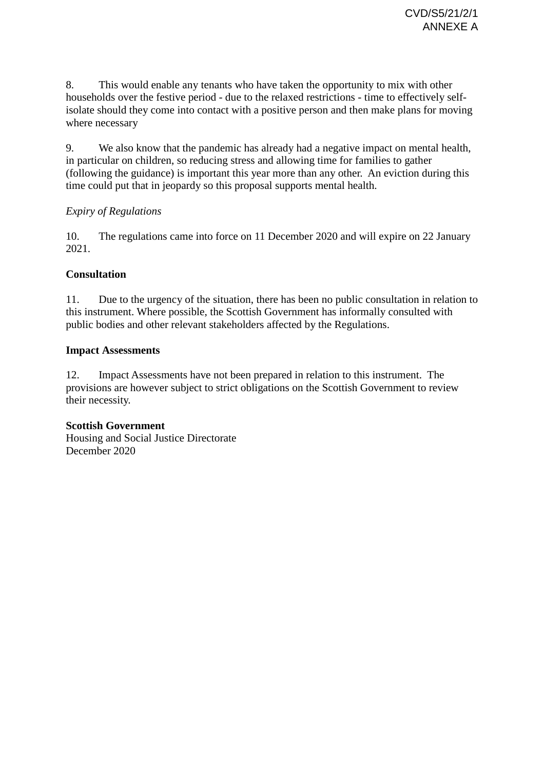8. This would enable any tenants who have taken the opportunity to mix with other households over the festive period - due to the relaxed restrictions - time to effectively selfisolate should they come into contact with a positive person and then make plans for moving where necessary

9. We also know that the pandemic has already had a negative impact on mental health, in particular on children, so reducing stress and allowing time for families to gather (following the guidance) is important this year more than any other. An eviction during this time could put that in jeopardy so this proposal supports mental health.

# *Expiry of Regulations*

10. The regulations came into force on 11 December 2020 and will expire on 22 January 2021.

# **Consultation**

11. Due to the urgency of the situation, there has been no public consultation in relation to this instrument. Where possible, the Scottish Government has informally consulted with public bodies and other relevant stakeholders affected by the Regulations.

# **Impact Assessments**

12. Impact Assessments have not been prepared in relation to this instrument. The provisions are however subject to strict obligations on the Scottish Government to review their necessity.

# **Scottish Government**

Housing and Social Justice Directorate December 2020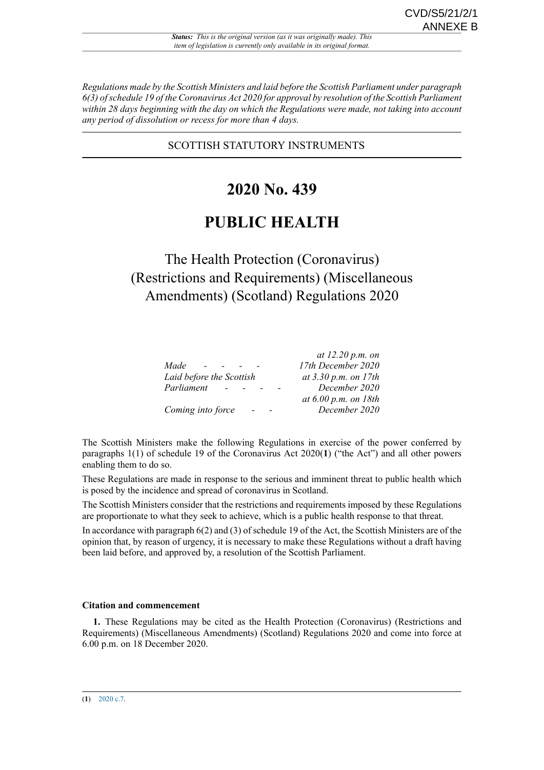*Regulations made by the Scottish Ministers and laid before the Scottish Parliament under paragraph 6(3) of schedule 19 of the Coronavirus Act 2020 for approval by resolution of the Scottish Parliament within 28 days beginning with the day on which the Regulations were made, not taking into account any period of dissolution or recess for more than 4 days.*

## SCOTTISH STATUTORY INSTRUMENTS

# **2020 No. 439**

# **PUBLIC HEALTH**

# The Health Protection (Coronavirus) (Restrictions and Requirements) (Miscellaneous Amendments) (Scotland) Regulations 2020

| at $12.20 p.m.$ on       |
|--------------------------|
| 17th December 2020       |
| at $3.30 p.m.$ on $17th$ |
| December 2020            |
| at $6.00$ p.m. on 18th   |
| December 2020            |
|                          |

The Scottish Ministers make the following Regulations in exercise of the power conferred by paragraphs 1(1) of schedule 19 of the Coronavirus Act 2020(**1**) ("the Act") and all other powers enabling them to do so.

These Regulations are made in response to the serious and imminent threat to public health which is posed by the incidence and spread of coronavirus in Scotland.

The Scottish Ministers consider that the restrictions and requirements imposed by these Regulations are proportionate to what they seek to achieve, which is a public health response to that threat.

In accordance with paragraph 6(2) and (3) of schedule 19 of the Act, the Scottish Ministers are of the opinion that, by reason of urgency, it is necessary to make these Regulations without a draft having been laid before, and approved by, a resolution of the Scottish Parliament.

#### **Citation and commencement**

**1.** These Regulations may be cited as the Health Protection (Coronavirus) (Restrictions and Requirements) (Miscellaneous Amendments) (Scotland) Regulations 2020 and come into force at 6.00 p.m. on 18 December 2020.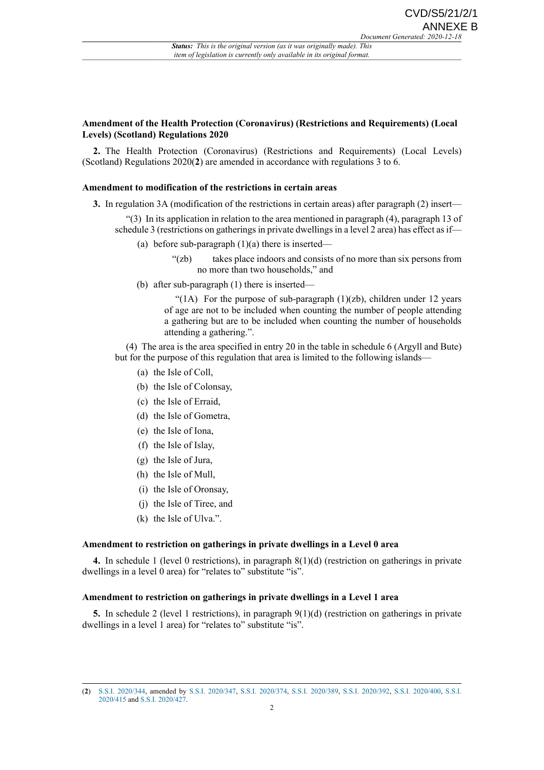#### **Amendment of the Health Protection (Coronavirus) (Restrictions and Requirements) (Local Levels) (Scotland) Regulations 2020**

**2.** The Health Protection (Coronavirus) (Restrictions and Requirements) (Local Levels) (Scotland) Regulations 2020(**2**) are amended in accordance with regulations 3 to 6.

#### **Amendment to modification of the restrictions in certain areas**

**3.** In regulation 3A (modification of the restrictions in certain areas) after paragraph (2) insert—

"(3) In its application in relation to the area mentioned in paragraph (4), paragraph 13 of schedule 3 (restrictions on gatherings in private dwellings in a level 2 area) has effect as if—

- (a) before sub-paragraph  $(1)(a)$  there is inserted—
	- "(zb) takes place indoors and consists of no more than six persons from no more than two households," and
- (b) after sub-paragraph (1) there is inserted—

"(1A) For the purpose of sub-paragraph  $(1)(zb)$ , children under 12 years of age are not to be included when counting the number of people attending a gathering but are to be included when counting the number of households attending a gathering.".

(4) The area is the area specified in entry 20 in the table in schedule 6 (Argyll and Bute) but for the purpose of this regulation that area is limited to the following islands—

- (a) the Isle of Coll,
- (b) the Isle of Colonsay,
- (c) the Isle of Erraid,
- (d) the Isle of Gometra,
- (e) the Isle of Iona,
- (f) the Isle of Islay,
- (g) the Isle of Jura,
- (h) the Isle of Mull,
- (i) the Isle of Oronsay,
- (j) the Isle of Tiree, and
- (k) the Isle of Ulva.".

#### **Amendment to restriction on gatherings in private dwellings in a Level 0 area**

**4.** In schedule 1 (level 0 restrictions), in paragraph 8(1)(d) (restriction on gatherings in private dwellings in a level 0 area) for "relates to" substitute "is".

#### **Amendment to restriction on gatherings in private dwellings in a Level 1 area**

**5.** In schedule 2 (level 1 restrictions), in paragraph 9(1)(d) (restriction on gatherings in private dwellings in a level 1 area) for "relates to" substitute "is".

<sup>(</sup>**2**) [S.S.I. 2020/344,](http://www.legislation.gov.uk/id/ssi/2020/344) amended by [S.S.I. 2020/347](http://www.legislation.gov.uk/id/ssi/2020/347), [S.S.I. 2020/374](http://www.legislation.gov.uk/id/ssi/2020/374), [S.S.I. 2020/389](http://www.legislation.gov.uk/id/ssi/2020/389), [S.S.I. 2020/392](http://www.legislation.gov.uk/id/ssi/2020/392), [S.S.I. 2020/400,](http://www.legislation.gov.uk/id/ssi/2020/400) [S.S.I.](http://www.legislation.gov.uk/id/ssi/2020/415) [2020/415](http://www.legislation.gov.uk/id/ssi/2020/415) and [S.S.I. 2020/427.](http://www.legislation.gov.uk/id/ssi/2020/427)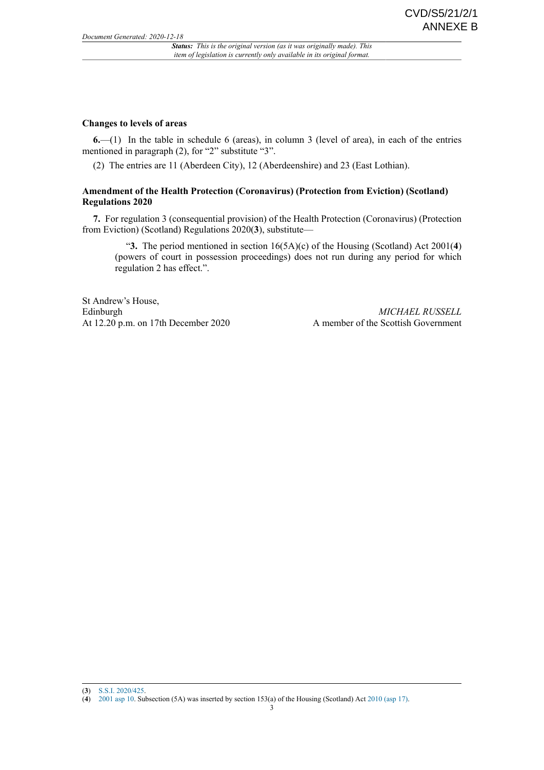#### **Changes to levels of areas**

**6.**—(1) In the table in schedule 6 (areas), in column 3 (level of area), in each of the entries mentioned in paragraph (2), for "2" substitute "3".

(2) The entries are 11 (Aberdeen City), 12 (Aberdeenshire) and 23 (East Lothian).

#### **Amendment of the Health Protection (Coronavirus) (Protection from Eviction) (Scotland) Regulations 2020**

**7.** For regulation 3 (consequential provision) of the Health Protection (Coronavirus) (Protection from Eviction) (Scotland) Regulations 2020(**3**), substitute—

"**3.** The period mentioned in section 16(5A)(c) of the Housing (Scotland) Act 2001(**4**) (powers of court in possession proceedings) does not run during any period for which regulation 2 has effect.".

St Andrew's House, Edinburgh At 12.20 p.m. on 17th December 2020

*MICHAEL RUSSELL* A member of the Scottish Government

(**3**) [S.S.I. 2020/425.](http://www.legislation.gov.uk/id/ssi/2020/425)

<sup>(</sup>**4**) [2001 asp 10.](http://www.legislation.gov.uk/id/asp/2001/10) Subsection (5A) was inserted by section 153(a) of the Housing (Scotland) Act [2010 \(asp 17\)](http://www.legislation.gov.uk/id/asp/2010/17).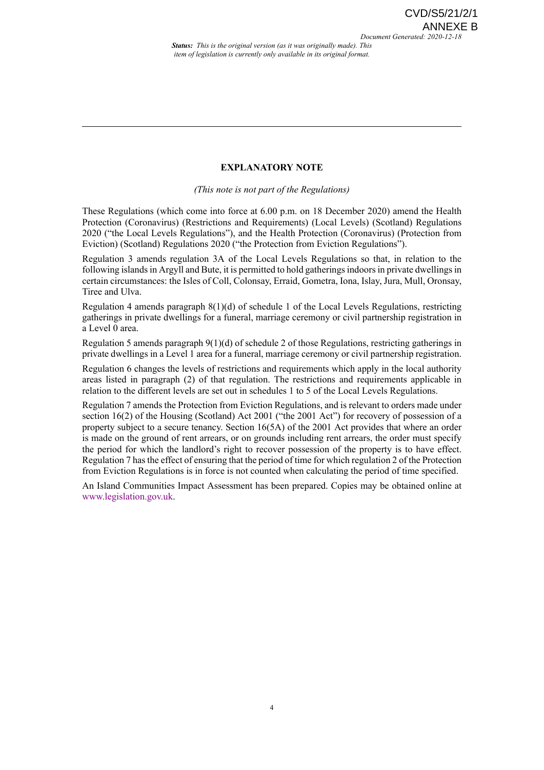#### **EXPLANATORY NOTE**

*(This note is not part of the Regulations)*

These Regulations (which come into force at 6.00 p.m. on 18 December 2020) amend the Health Protection (Coronavirus) (Restrictions and Requirements) (Local Levels) (Scotland) Regulations 2020 ("the Local Levels Regulations"), and the Health Protection (Coronavirus) (Protection from Eviction) (Scotland) Regulations 2020 ("the Protection from Eviction Regulations").

Regulation 3 amends regulation 3A of the Local Levels Regulations so that, in relation to the following islands in Argyll and Bute, it is permitted to hold gatherings indoors in private dwellings in certain circumstances: the Isles of Coll, Colonsay, Erraid, Gometra, Iona, Islay, Jura, Mull, Oronsay, Tiree and Ulva.

Regulation 4 amends paragraph  $8(1)(d)$  of schedule 1 of the Local Levels Regulations, restricting gatherings in private dwellings for a funeral, marriage ceremony or civil partnership registration in a Level 0 area.

Regulation 5 amends paragraph 9(1)(d) of schedule 2 of those Regulations, restricting gatherings in private dwellings in a Level 1 area for a funeral, marriage ceremony or civil partnership registration.

Regulation 6 changes the levels of restrictions and requirements which apply in the local authority areas listed in paragraph (2) of that regulation. The restrictions and requirements applicable in relation to the different levels are set out in schedules 1 to 5 of the Local Levels Regulations.

Regulation 7 amends the Protection from Eviction Regulations, and is relevant to orders made under section 16(2) of the Housing (Scotland) Act 2001 ("the 2001 Act") for recovery of possession of a property subject to a secure tenancy. Section 16(5A) of the 2001 Act provides that where an order is made on the ground of rent arrears, or on grounds including rent arrears, the order must specify the period for which the landlord's right to recover possession of the property is to have effect. Regulation 7 has the effect of ensuring that the period of time for which regulation 2 of the Protection from Eviction Regulations is in force is not counted when calculating the period of time specified.

An Island Communities Impact Assessment has been prepared. Copies may be obtained online at [www.legislation.gov.uk](http://www.legislation.gov.uk/).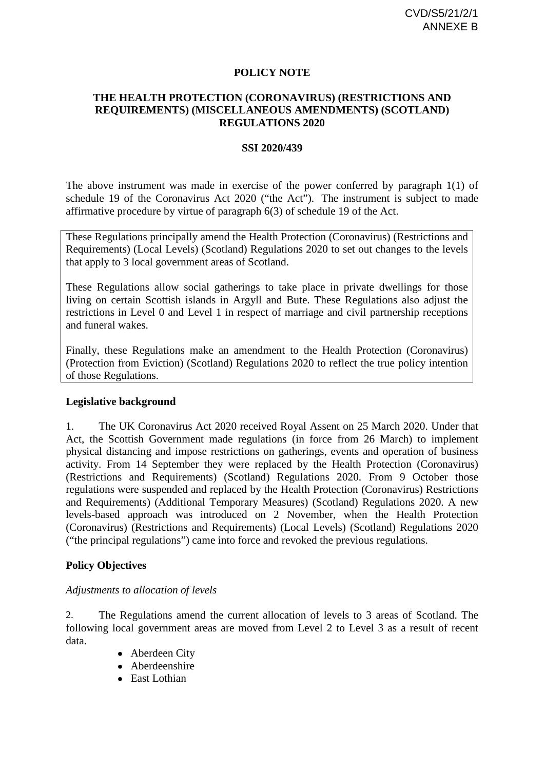# **POLICY NOTE**

### **THE HEALTH PROTECTION (CORONAVIRUS) (RESTRICTIONS AND REQUIREMENTS) (MISCELLANEOUS AMENDMENTS) (SCOTLAND) REGULATIONS 2020**

#### **SSI 2020/439**

The above instrument was made in exercise of the power conferred by paragraph 1(1) of schedule 19 of the Coronavirus Act 2020 ("the Act"). The instrument is subject to made affirmative procedure by virtue of paragraph 6(3) of schedule 19 of the Act.

These Regulations principally amend the Health Protection (Coronavirus) (Restrictions and Requirements) (Local Levels) (Scotland) Regulations 2020 to set out changes to the levels that apply to 3 local government areas of Scotland.

These Regulations allow social gatherings to take place in private dwellings for those living on certain Scottish islands in Argyll and Bute. These Regulations also adjust the restrictions in Level 0 and Level 1 in respect of marriage and civil partnership receptions and funeral wakes.

Finally, these Regulations make an amendment to the Health Protection (Coronavirus) (Protection from Eviction) (Scotland) Regulations 2020 to reflect the true policy intention of those Regulations.

### **Legislative background**

1. The UK Coronavirus Act 2020 received Royal Assent on 25 March 2020. Under that Act, the Scottish Government made regulations (in force from 26 March) to implement physical distancing and impose restrictions on gatherings, events and operation of business activity. From 14 September they were replaced by the Health Protection (Coronavirus) (Restrictions and Requirements) (Scotland) Regulations 2020. From 9 October those regulations were suspended and replaced by the Health Protection (Coronavirus) Restrictions and Requirements) (Additional Temporary Measures) (Scotland) Regulations 2020. A new levels-based approach was introduced on 2 November, when the Health Protection (Coronavirus) (Restrictions and Requirements) (Local Levels) (Scotland) Regulations 2020 ("the principal regulations") came into force and revoked the previous regulations.

### **Policy Objectives**

### *Adjustments to allocation of levels*

2. The Regulations amend the current allocation of levels to 3 areas of Scotland. The following local government areas are moved from Level 2 to Level 3 as a result of recent data.

- Aberdeen City
- Aberdeenshire
- East Lothian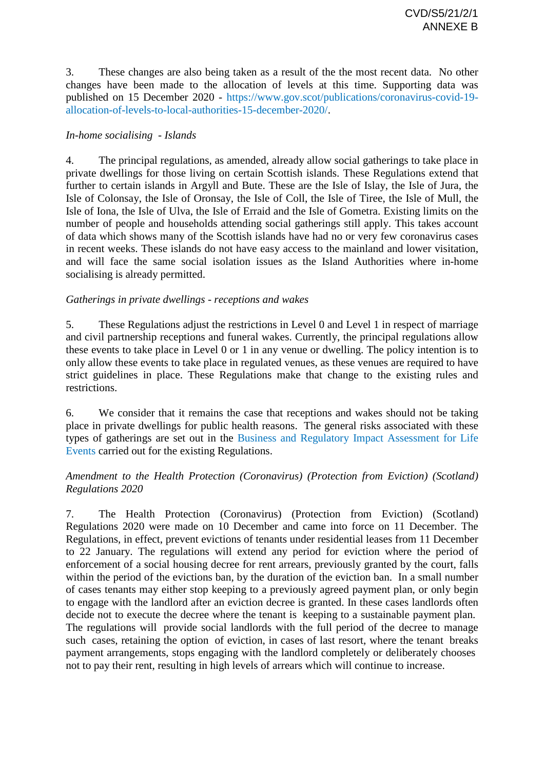3. These changes are also being taken as a result of the the most recent data. No other changes have been made to the allocation of levels at this time. Supporting data was published on 15 December 2020 - https://www.gov.scot/publications/coronavirus-covid-19 allocation-of-levels-to-local-authorities-15-december-2020/.

# *In-home socialising - Islands*

4. The principal regulations, as amended, already allow social gatherings to take place in private dwellings for those living on certain Scottish islands. These Regulations extend that further to certain islands in Argyll and Bute. These are the Isle of Islay, the Isle of Jura, the Isle of Colonsay, the Isle of Oronsay, the Isle of Coll, the Isle of Tiree, the Isle of Mull, the Isle of Iona, the Isle of Ulva, the Isle of Erraid and the Isle of Gometra. Existing limits on the number of people and households attending social gatherings still apply. This takes account of data which shows many of the Scottish islands have had no or very few coronavirus cases in recent weeks. These islands do not have easy access to the mainland and lower visitation, and will face the same social isolation issues as the Island Authorities where in-home socialising is already permitted.

# *Gatherings in private dwellings - receptions and wakes*

5. These Regulations adjust the restrictions in Level 0 and Level 1 in respect of marriage and civil partnership receptions and funeral wakes. Currently, the principal regulations allow these events to take place in Level 0 or 1 in any venue or dwelling. The policy intention is to only allow these events to take place in regulated venues, as these venues are required to have strict guidelines in place. These Regulations make that change to the existing rules and restrictions.

6. We consider that it remains the case that receptions and wakes should not be taking place in private dwellings for public health reasons. The general risks associated with these types of gatherings are set out in the Business and Regulatory Impact Assessment for Life Events carried out for the existing Regulations.

# *Amendment to the Health Protection (Coronavirus) (Protection from Eviction) (Scotland) Regulations 2020*

7. The Health Protection (Coronavirus) (Protection from Eviction) (Scotland) Regulations 2020 were made on 10 December and came into force on 11 December. The Regulations, in effect, prevent evictions of tenants under residential leases from 11 December to 22 January. The regulations will extend any period for eviction where the period of enforcement of a social housing decree for rent arrears, previously granted by the court, falls within the period of the evictions ban, by the duration of the eviction ban. In a small number of cases tenants may either stop keeping to a previously agreed payment plan, or only begin to engage with the landlord after an eviction decree is granted. In these cases landlords often decide not to execute the decree where the tenant is keeping to a sustainable payment plan. The regulations will provide social landlords with the full period of the decree to manage such cases, retaining the option of eviction, in cases of last resort, where the tenant breaks payment arrangements, stops engaging with the landlord completely or deliberately chooses not to pay their rent, resulting in high levels of arrears which will continue to increase.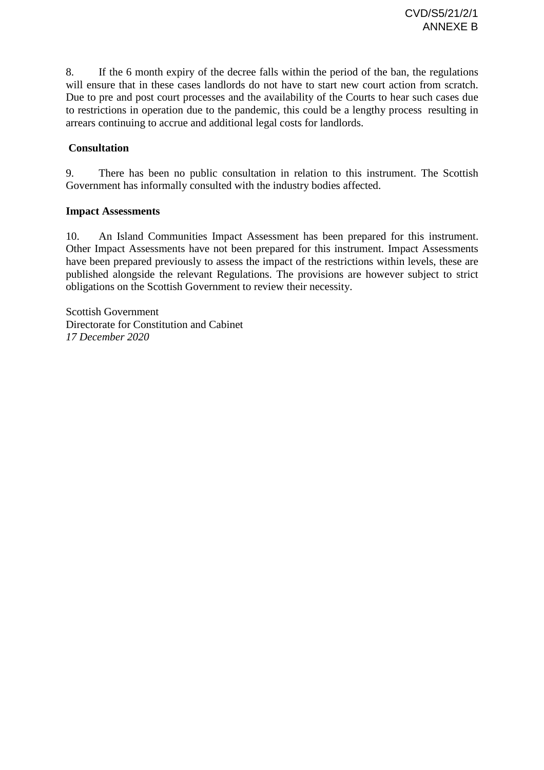8. If the 6 month expiry of the decree falls within the period of the ban, the regulations will ensure that in these cases landlords do not have to start new court action from scratch. Due to pre and post court processes and the availability of the Courts to hear such cases due to restrictions in operation due to the pandemic, this could be a lengthy process resulting in arrears continuing to accrue and additional legal costs for landlords.

# **Consultation**

9. There has been no public consultation in relation to this instrument. The Scottish Government has informally consulted with the industry bodies affected.

# **Impact Assessments**

10. An Island Communities Impact Assessment has been prepared for this instrument. Other Impact Assessments have not been prepared for this instrument. Impact Assessments have been prepared previously to assess the impact of the restrictions within levels, these are published alongside the relevant Regulations. The provisions are however subject to strict obligations on the Scottish Government to review their necessity.

Scottish Government Directorate for Constitution and Cabinet *17 December 2020*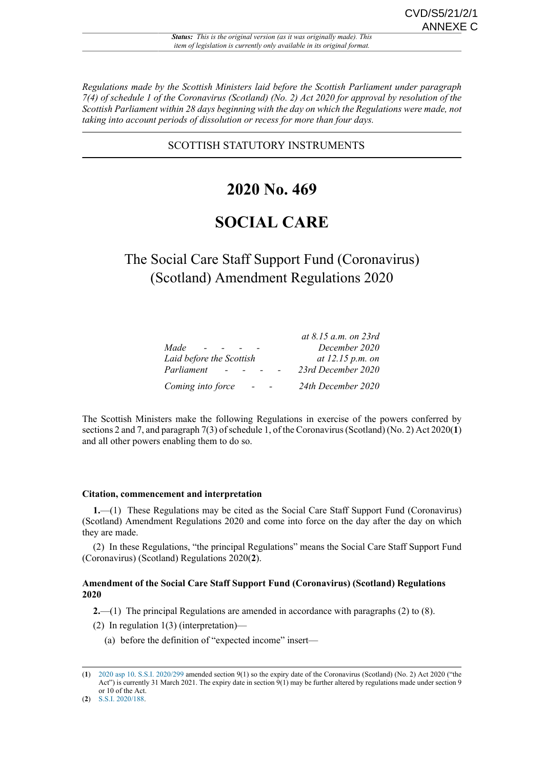*Regulations made by the Scottish Ministers laid before the Scottish Parliament under paragraph 7(4) of schedule 1 of the Coronavirus (Scotland) (No. 2) Act 2020 for approval by resolution of the Scottish Parliament within 28 days beginning with the day on which the Regulations were made, not taking into account periods of dissolution or recess for more than four days.*

SCOTTISH STATUTORY INSTRUMENTS

# **2020 No. 469**

# **SOCIAL CARE**

# The Social Care Staff Support Fund (Coronavirus) (Scotland) Amendment Regulations 2020

|                          | at 8.15 a.m. on 23rd |
|--------------------------|----------------------|
| Made                     | December 2020        |
| Laid before the Scottish | at 12.15 p.m. on     |
| Parliament               | 23rd December 2020   |
| Coming into force        | 24th December 2020   |

The Scottish Ministers make the following Regulations in exercise of the powers conferred by sections 2 and 7, and paragraph 7(3) of schedule 1, of the Coronavirus (Scotland) (No. 2) Act 2020(**1**) and all other powers enabling them to do so.

#### **Citation, commencement and interpretation**

**1.**—(1) These Regulations may be cited as the Social Care Staff Support Fund (Coronavirus) (Scotland) Amendment Regulations 2020 and come into force on the day after the day on which they are made.

(2) In these Regulations, "the principal Regulations" means the Social Care Staff Support Fund (Coronavirus) (Scotland) Regulations 2020(**2**).

#### **Amendment of the Social Care Staff Support Fund (Coronavirus) (Scotland) Regulations 2020**

**2.**—(1) The principal Regulations are amended in accordance with paragraphs (2) to (8).

- (2) In regulation 1(3) (interpretation)—
	- (a) before the definition of "expected income" insert—

<sup>(</sup>**1**) [2020 asp 10](http://www.legislation.gov.uk/id/asp/2020/10). [S.S.I. 2020/299](http://www.legislation.gov.uk/id/ssi/2020/299) amended section 9(1) so the expiry date of the Coronavirus (Scotland) (No. 2) Act 2020 ("the Act") is currently 31 March 2021. The expiry date in section  $9(1)$  may be further altered by regulations made under section 9 or 10 of the Act.

<sup>(</sup>**2**) [S.S.I. 2020/188.](http://www.legislation.gov.uk/id/ssi/2020/188)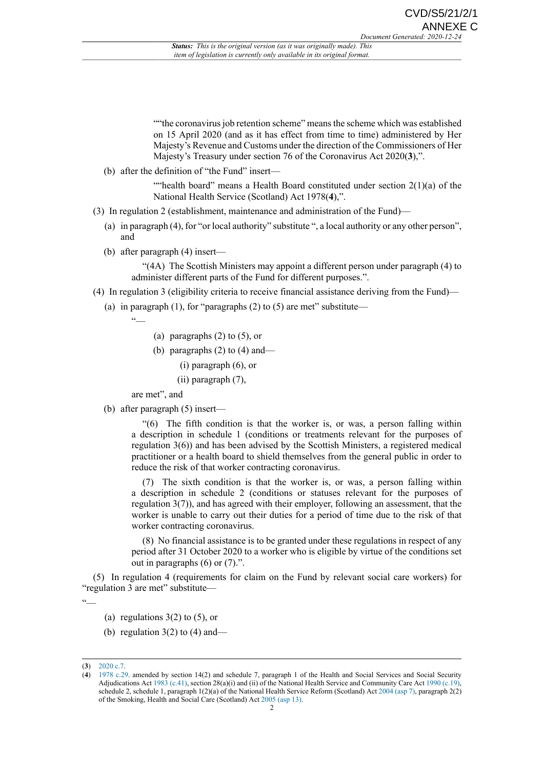""the coronavirus job retention scheme" means the scheme which was established on 15 April 2020 (and as it has effect from time to time) administered by Her Majesty's Revenue and Customs under the direction of the Commissioners of Her Majesty's Treasury under section 76 of the Coronavirus Act 2020(**3**),".

(b) after the definition of "the Fund" insert—

""health board" means a Health Board constituted under section  $2(1)(a)$  of the National Health Service (Scotland) Act 1978(**4**),".

- (3) In regulation 2 (establishment, maintenance and administration of the Fund)—
	- (a) in paragraph (4), for "or local authority" substitute ", a local authority or any other person", and
	- (b) after paragraph (4) insert—

"(4A) The Scottish Ministers may appoint a different person under paragraph (4) to administer different parts of the Fund for different purposes.".

- (4) In regulation 3 (eligibility criteria to receive financial assistance deriving from the Fund)—
	- (a) in paragraph  $(1)$ , for "paragraphs  $(2)$  to  $(5)$  are met" substitute—

"—

- (a) paragraphs  $(2)$  to  $(5)$ , or
- (b) paragraphs (2) to (4) and—
	- (i) paragraph (6), or
	- (ii) paragraph (7),

are met", and

(b) after paragraph (5) insert—

"(6) The fifth condition is that the worker is, or was, a person falling within a description in schedule 1 (conditions or treatments relevant for the purposes of regulation 3(6)) and has been advised by the Scottish Ministers, a registered medical practitioner or a health board to shield themselves from the general public in order to reduce the risk of that worker contracting coronavirus.

(7) The sixth condition is that the worker is, or was, a person falling within a description in schedule 2 (conditions or statuses relevant for the purposes of regulation 3(7)), and has agreed with their employer, following an assessment, that the worker is unable to carry out their duties for a period of time due to the risk of that worker contracting coronavirus.

(8) No financial assistance is to be granted under these regulations in respect of any period after 31 October 2020 to a worker who is eligible by virtue of the conditions set out in paragraphs (6) or (7).".

(5) In regulation 4 (requirements for claim on the Fund by relevant social care workers) for "regulation 3 are met" substitute—

- (a) regulations  $3(2)$  to  $(5)$ , or
- (b) regulation  $3(2)$  to  $(4)$  and—

 $\frac{1}{\sqrt{2}}$ 

<sup>(</sup>**3**) [2020 c.7.](http://www.legislation.gov.uk/id/ukpga/2020/7)

<sup>(</sup>**4**) [1978 c.29](http://www.legislation.gov.uk/id/ukpga/1978/29). amended by section 14(2) and schedule 7, paragraph 1 of the Health and Social Services and Social Security Adjudications Act [1983 \(c.41\),](http://www.legislation.gov.uk/id/ukpga/1983/41) section 28(a)(i) and (ii) of the National Health Service and Community Care Act [1990 \(c.19\)](http://www.legislation.gov.uk/id/ukpga/1990/19), schedule 2, schedule 1, paragraph 1(2)(a) of the National Health Service Reform (Scotland) Act [2004 \(asp 7\)](http://www.legislation.gov.uk/id/asp/2004/7), paragraph 2(2) of the Smoking, Health and Social Care (Scotland) Act [2005 \(asp 13\)](http://www.legislation.gov.uk/id/asp/2005/13).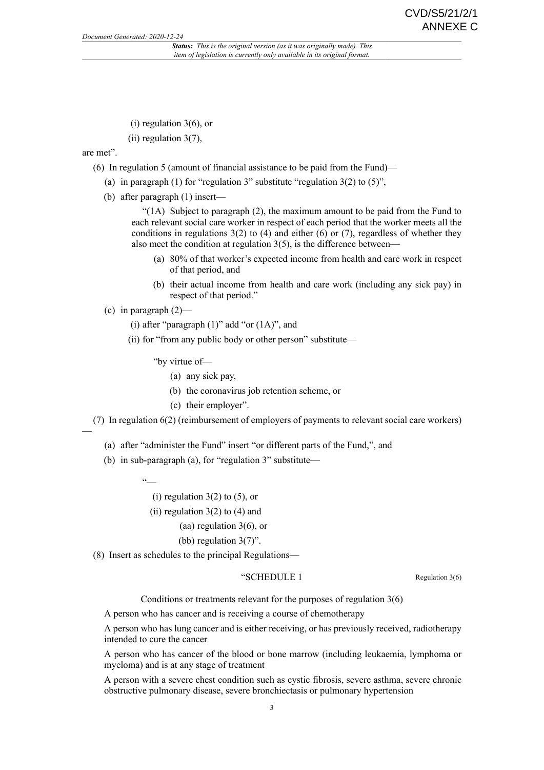- (i) regulation 3(6), or
- (ii) regulation 3(7),

are met".

—

- (6) In regulation 5 (amount of financial assistance to be paid from the Fund)—
	- (a) in paragraph (1) for "regulation 3" substitute "regulation  $3(2)$  to  $(5)$ ",
	- (b) after paragraph (1) insert—

"(1A) Subject to paragraph (2), the maximum amount to be paid from the Fund to each relevant social care worker in respect of each period that the worker meets all the conditions in regulations  $3(2)$  to (4) and either (6) or (7), regardless of whether they also meet the condition at regulation  $3(5)$ , is the difference between—

- (a) 80% of that worker's expected income from health and care work in respect of that period, and
- (b) their actual income from health and care work (including any sick pay) in respect of that period."

(c) in paragraph  $(2)$ —

- (i) after "paragraph  $(1)$ " add "or  $(1A)$ ", and
- (ii) for "from any public body or other person" substitute—

"by virtue of—

- (a) any sick pay,
- (b) the coronavirus job retention scheme, or
- (c) their employer".

(7) In regulation 6(2) (reimbursement of employers of payments to relevant social care workers)

- (a) after "administer the Fund" insert "or different parts of the Fund,", and
- (b) in sub-paragraph (a), for "regulation 3" substitute—

"—

- (i) regulation  $3(2)$  to  $(5)$ , or
- (ii) regulation  $3(2)$  to  $(4)$  and

(aa) regulation 3(6), or

```
(bb) regulation 3(7)".
```
(8) Insert as schedules to the principal Regulations—

#### "SCHEDULE 1 Regulation 3(6)

Conditions or treatments relevant for the purposes of regulation 3(6)

A person who has cancer and is receiving a course of chemotherapy

A person who has lung cancer and is either receiving, or has previously received, radiotherapy intended to cure the cancer

A person who has cancer of the blood or bone marrow (including leukaemia, lymphoma or myeloma) and is at any stage of treatment

A person with a severe chest condition such as cystic fibrosis, severe asthma, severe chronic obstructive pulmonary disease, severe bronchiectasis or pulmonary hypertension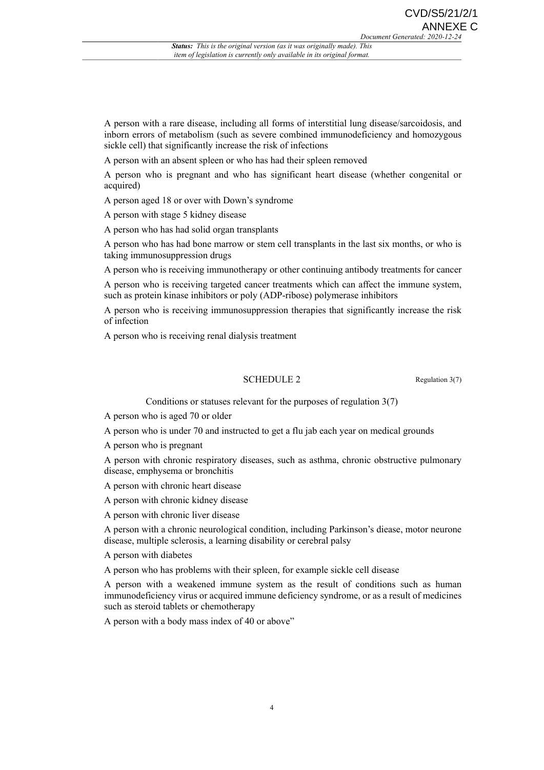A person with a rare disease, including all forms of interstitial lung disease/sarcoidosis, and inborn errors of metabolism (such as severe combined immunodeficiency and homozygous sickle cell) that significantly increase the risk of infections

A person with an absent spleen or who has had their spleen removed

A person who is pregnant and who has significant heart disease (whether congenital or acquired)

A person aged 18 or over with Down's syndrome

A person with stage 5 kidney disease

A person who has had solid organ transplants

A person who has had bone marrow or stem cell transplants in the last six months, or who is taking immunosuppression drugs

A person who is receiving immunotherapy or other continuing antibody treatments for cancer

A person who is receiving targeted cancer treatments which can affect the immune system, such as protein kinase inhibitors or poly (ADP-ribose) polymerase inhibitors

A person who is receiving immunosuppression therapies that significantly increase the risk of infection

A person who is receiving renal dialysis treatment

#### SCHEDULE 2 Regulation 3(7)

Conditions or statuses relevant for the purposes of regulation 3(7)

A person who is aged 70 or older

A person who is under 70 and instructed to get a flu jab each year on medical grounds

A person who is pregnant

A person with chronic respiratory diseases, such as asthma, chronic obstructive pulmonary disease, emphysema or bronchitis

A person with chronic heart disease

A person with chronic kidney disease

A person with chronic liver disease

A person with a chronic neurological condition, including Parkinson's diease, motor neurone disease, multiple sclerosis, a learning disability or cerebral palsy

A person with diabetes

A person who has problems with their spleen, for example sickle cell disease

A person with a weakened immune system as the result of conditions such as human immunodeficiency virus or acquired immune deficiency syndrome, or as a result of medicines such as steroid tablets or chemotherapy

A person with a body mass index of 40 or above"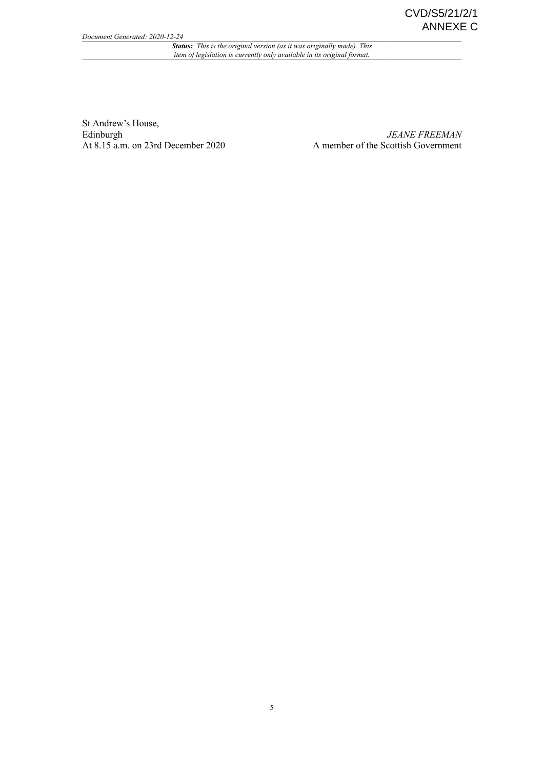*Status: This is the original version (as it was originally made). This item of legislation is currently only available in its original format.*

St Andrew's House, Edinburgh At 8.15 a.m. on 23rd December 2020

*JEANE FREEMAN* A member of the Scottish Government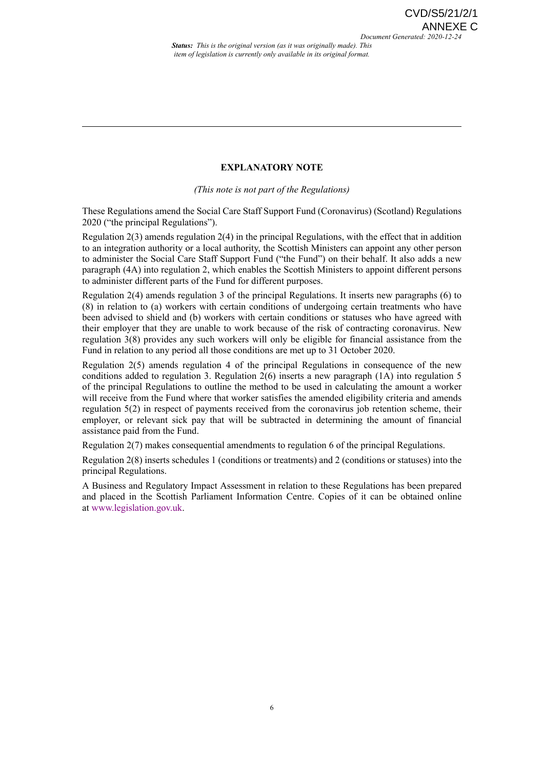#### **EXPLANATORY NOTE**

*(This note is not part of the Regulations)*

These Regulations amend the Social Care Staff Support Fund (Coronavirus) (Scotland) Regulations 2020 ("the principal Regulations").

Regulation 2(3) amends regulation 2(4) in the principal Regulations, with the effect that in addition to an integration authority or a local authority, the Scottish Ministers can appoint any other person to administer the Social Care Staff Support Fund ("the Fund") on their behalf. It also adds a new paragraph (4A) into regulation 2, which enables the Scottish Ministers to appoint different persons to administer different parts of the Fund for different purposes.

Regulation 2(4) amends regulation 3 of the principal Regulations. It inserts new paragraphs (6) to (8) in relation to (a) workers with certain conditions of undergoing certain treatments who have been advised to shield and (b) workers with certain conditions or statuses who have agreed with their employer that they are unable to work because of the risk of contracting coronavirus. New regulation 3(8) provides any such workers will only be eligible for financial assistance from the Fund in relation to any period all those conditions are met up to 31 October 2020.

Regulation 2(5) amends regulation 4 of the principal Regulations in consequence of the new conditions added to regulation 3. Regulation  $2(6)$  inserts a new paragraph  $(1)$  into regulation 5 of the principal Regulations to outline the method to be used in calculating the amount a worker will receive from the Fund where that worker satisfies the amended eligibility criteria and amends regulation 5(2) in respect of payments received from the coronavirus job retention scheme, their employer, or relevant sick pay that will be subtracted in determining the amount of financial assistance paid from the Fund.

Regulation 2(7) makes consequential amendments to regulation 6 of the principal Regulations.

Regulation 2(8) inserts schedules 1 (conditions or treatments) and 2 (conditions or statuses) into the principal Regulations.

A Business and Regulatory Impact Assessment in relation to these Regulations has been prepared and placed in the Scottish Parliament Information Centre. Copies of it can be obtained online at [www.legislation.gov.uk](http://www.legislation.gov.uk/).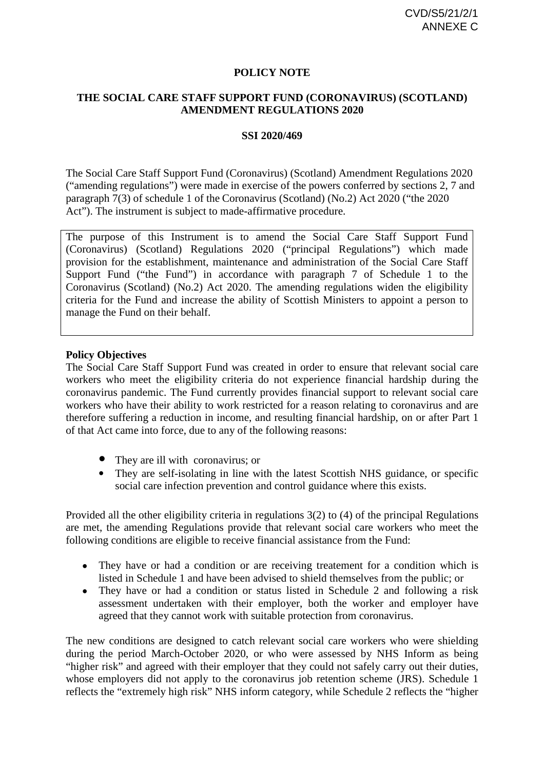## **POLICY NOTE**

## **THE SOCIAL CARE STAFF SUPPORT FUND (CORONAVIRUS) (SCOTLAND) AMENDMENT REGULATIONS 2020**

### **SSI 2020/469**

The Social Care Staff Support Fund (Coronavirus) (Scotland) Amendment Regulations 2020 ("amending regulations") were made in exercise of the powers conferred by sections 2, 7 and paragraph 7(3) of schedule 1 of the Coronavirus (Scotland) (No.2) Act 2020 ("the 2020 Act"). The instrument is subject to made-affirmative procedure.

The purpose of this Instrument is to amend the Social Care Staff Support Fund (Coronavirus) (Scotland) Regulations 2020 ("principal Regulations") which made provision for the establishment, maintenance and administration of the Social Care Staff Support Fund ("the Fund") in accordance with paragraph 7 of Schedule 1 to the Coronavirus (Scotland) (No.2) Act 2020. The amending regulations widen the eligibility criteria for the Fund and increase the ability of Scottish Ministers to appoint a person to manage the Fund on their behalf.

### **Policy Objectives**

The Social Care Staff Support Fund was created in order to ensure that relevant social care workers who meet the eligibility criteria do not experience financial hardship during the coronavirus pandemic. The Fund currently provides financial support to relevant social care workers who have their ability to work restricted for a reason relating to coronavirus and are therefore suffering a reduction in income, and resulting financial hardship, on or after Part 1 of that Act came into force, due to any of the following reasons:

- They are ill with coronavirus; or
- They are self-isolating in line with the latest Scottish NHS guidance, or specific social care infection prevention and control guidance where this exists.

Provided all the other eligibility criteria in regulations 3(2) to (4) of the principal Regulations are met, the amending Regulations provide that relevant social care workers who meet the following conditions are eligible to receive financial assistance from the Fund:

- They have or had a condition or are receiving treatement for a condition which is listed in Schedule 1 and have been advised to shield themselves from the public; or
- They have or had a condition or status listed in Schedule 2 and following a risk assessment undertaken with their employer, both the worker and employer have agreed that they cannot work with suitable protection from coronavirus.

The new conditions are designed to catch relevant social care workers who were shielding during the period March-October 2020, or who were assessed by NHS Inform as being "higher risk" and agreed with their employer that they could not safely carry out their duties, whose employers did not apply to the coronavirus job retention scheme (JRS). Schedule 1 reflects the "extremely high risk" NHS inform category, while Schedule 2 reflects the "higher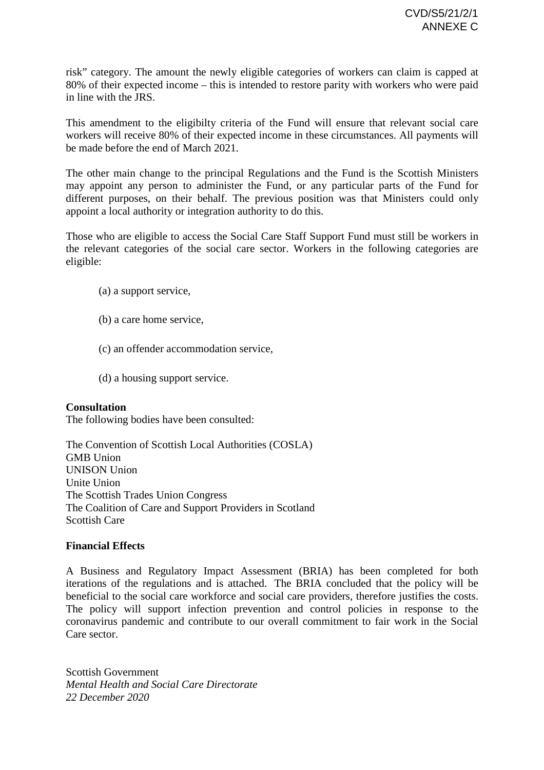risk" category. The amount the newly eligible categories of workers can claim is capped at 80% of their expected income – this is intended to restore parity with workers who were paid in line with the JRS.

This amendment to the eligibilty criteria of the Fund will ensure that relevant social care workers will receive 80% of their expected income in these circumstances. All payments will be made before the end of March 2021.

The other main change to the principal Regulations and the Fund is the Scottish Ministers may appoint any person to administer the Fund, or any particular parts of the Fund for different purposes, on their behalf. The previous position was that Ministers could only appoint a local authority or integration authority to do this.

Those who are eligible to access the Social Care Staff Support Fund must still be workers in the relevant categories of the social care sector. Workers in the following categories are eligible:

- (a) a support service,
- (b) a care home service,
- (c) an offender accommodation service,
- (d) a housing support service.

### **Consultation**

The following bodies have been consulted:

The Convention of Scottish Local Authorities (COSLA) GMB Union UNISON Union Unite Union The Scottish Trades Union Congress The Coalition of Care and Support Providers in Scotland Scottish Care

### **Financial Effects**

A Business and Regulatory Impact Assessment (BRIA) has been completed for both iterations of the regulations and is attached. The BRIA concluded that the policy will be beneficial to the social care workforce and social care providers, therefore justifies the costs. The policy will support infection prevention and control policies in response to the coronavirus pandemic and contribute to our overall commitment to fair work in the Social Care sector.

Scottish Government *Mental Health and Social Care Directorate 22 December 2020*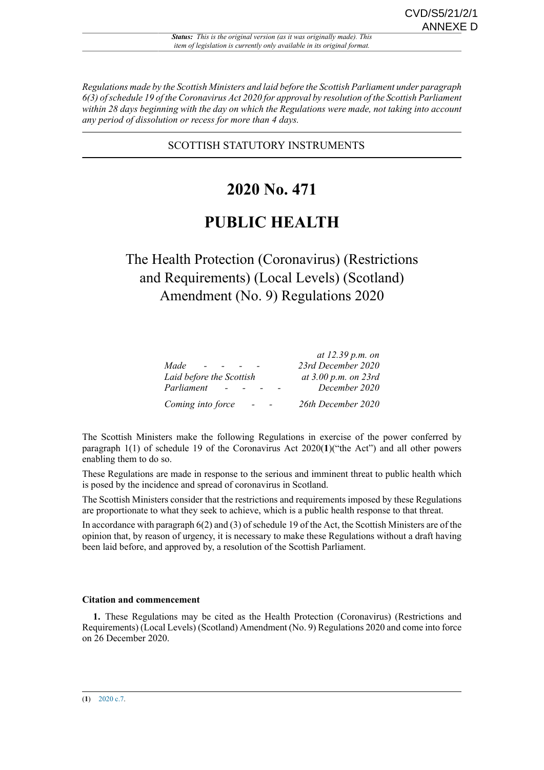*Regulations made by the Scottish Ministers and laid before the Scottish Parliament under paragraph 6(3) of schedule 19 of the Coronavirus Act 2020 for approval by resolution of the Scottish Parliament within 28 days beginning with the day on which the Regulations were made, not taking into account any period of dissolution or recess for more than 4 days.*

## SCOTTISH STATUTORY INSTRUMENTS

# **2020 No. 471**

# **PUBLIC HEALTH**

# The Health Protection (Coronavirus) (Restrictions and Requirements) (Local Levels) (Scotland) Amendment (No. 9) Regulations 2020

|                                  | at $12.39 p.m.$ on     |
|----------------------------------|------------------------|
| Made<br><b>Contract Contract</b> | 23rd December 2020     |
| Laid before the Scottish         | at 3.00 p.m. on $23rd$ |
| Parliament                       | December 2020          |
| Coming into force                | 26th December 2020     |

The Scottish Ministers make the following Regulations in exercise of the power conferred by paragraph 1(1) of schedule 19 of the Coronavirus Act 2020(**1**)("the Act") and all other powers enabling them to do so.

These Regulations are made in response to the serious and imminent threat to public health which is posed by the incidence and spread of coronavirus in Scotland.

The Scottish Ministers consider that the restrictions and requirements imposed by these Regulations are proportionate to what they seek to achieve, which is a public health response to that threat.

In accordance with paragraph 6(2) and (3) of schedule 19 of the Act, the Scottish Ministers are of the opinion that, by reason of urgency, it is necessary to make these Regulations without a draft having been laid before, and approved by, a resolution of the Scottish Parliament.

#### **Citation and commencement**

**1.** These Regulations may be cited as the Health Protection (Coronavirus) (Restrictions and Requirements) (Local Levels) (Scotland) Amendment (No. 9) Regulations 2020 and come into force on 26 December 2020.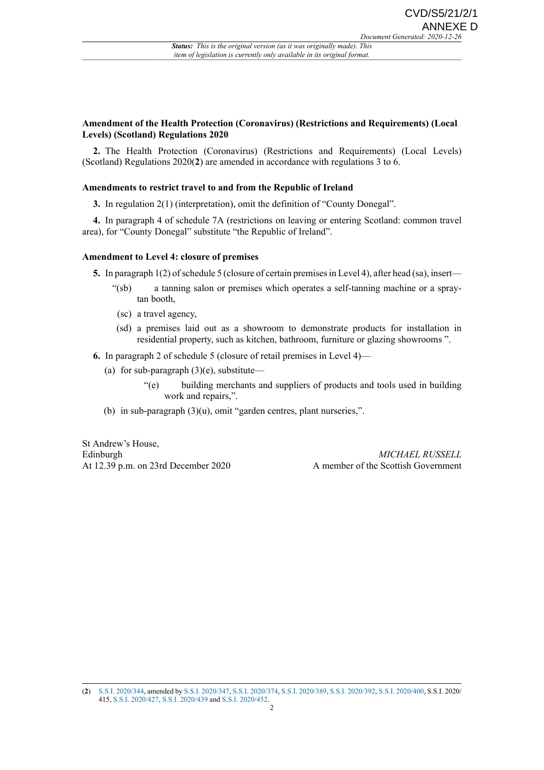#### **Amendment of the Health Protection (Coronavirus) (Restrictions and Requirements) (Local Levels) (Scotland) Regulations 2020**

**2.** The Health Protection (Coronavirus) (Restrictions and Requirements) (Local Levels) (Scotland) Regulations 2020(**2**) are amended in accordance with regulations 3 to 6.

#### **Amendments to restrict travel to and from the Republic of Ireland**

**3.** In regulation 2(1) (interpretation), omit the definition of "County Donegal".

**4.** In paragraph 4 of schedule 7A (restrictions on leaving or entering Scotland: common travel area), for "County Donegal" substitute "the Republic of Ireland".

#### **Amendment to Level 4: closure of premises**

**5.** In paragraph 1(2) of schedule 5 (closure of certain premises in Level 4), after head (sa), insert—

- "(sb) a tanning salon or premises which operates a self-tanning machine or a spraytan booth,
- (sc) a travel agency,
- (sd) a premises laid out as a showroom to demonstrate products for installation in residential property, such as kitchen, bathroom, furniture or glazing showrooms ".
- **6.** In paragraph 2 of schedule 5 (closure of retail premises in Level 4)—
	- (a) for sub-paragraph  $(3)(e)$ , substitute—
		- "(e) building merchants and suppliers of products and tools used in building work and repairs,".
	- (b) in sub-paragraph  $(3)(u)$ , omit "garden centres, plant nurseries,".

St Andrew's House, Edinburgh At 12.39 p.m. on 23rd December 2020

*MICHAEL RUSSELL* A member of the Scottish Government

<sup>(</sup>**2**) [S.S.I. 2020/344,](http://www.legislation.gov.uk/id/ssi/2020/344) amended by [S.S.I. 2020/347](http://www.legislation.gov.uk/id/ssi/2020/347), [S.S.I. 2020/374](http://www.legislation.gov.uk/id/ssi/2020/374), [S.S.I. 2020/389,](http://www.legislation.gov.uk/id/ssi/2020/389) [S.S.I. 2020/392,](http://www.legislation.gov.uk/id/ssi/2020/392) [S.S.I. 2020/400](http://www.legislation.gov.uk/id/ssi/2020/400), S.S.I. 2020/ 415, [S.S.I. 2020/427,](http://www.legislation.gov.uk/id/ssi/2020/427) [S.S.I. 2020/439](http://www.legislation.gov.uk/id/ssi/2020/439) and [S.S.I. 2020/452.](http://www.legislation.gov.uk/id/ssi/2020/452)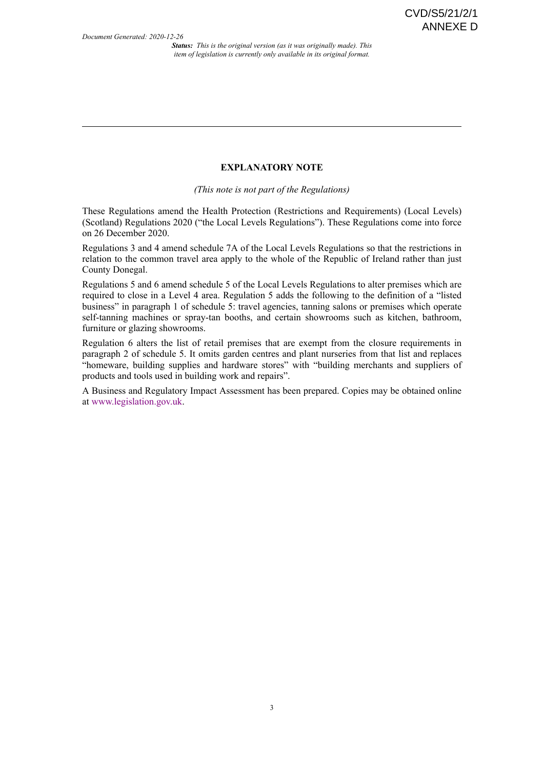#### **EXPLANATORY NOTE**

*(This note is not part of the Regulations)*

These Regulations amend the Health Protection (Restrictions and Requirements) (Local Levels) (Scotland) Regulations 2020 ("the Local Levels Regulations"). These Regulations come into force on 26 December 2020.

Regulations 3 and 4 amend schedule 7A of the Local Levels Regulations so that the restrictions in relation to the common travel area apply to the whole of the Republic of Ireland rather than just County Donegal.

Regulations 5 and 6 amend schedule 5 of the Local Levels Regulations to alter premises which are required to close in a Level 4 area. Regulation 5 adds the following to the definition of a "listed business" in paragraph 1 of schedule 5: travel agencies, tanning salons or premises which operate self-tanning machines or spray-tan booths, and certain showrooms such as kitchen, bathroom, furniture or glazing showrooms.

Regulation 6 alters the list of retail premises that are exempt from the closure requirements in paragraph 2 of schedule 5. It omits garden centres and plant nurseries from that list and replaces "homeware, building supplies and hardware stores" with "building merchants and suppliers of products and tools used in building work and repairs".

A Business and Regulatory Impact Assessment has been prepared. Copies may be obtained online at<www.legislation.gov.uk>.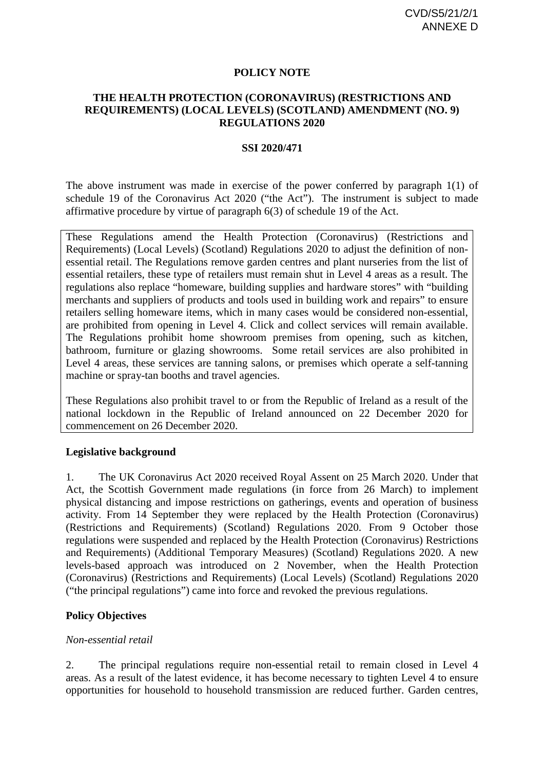# **POLICY NOTE**

### **THE HEALTH PROTECTION (CORONAVIRUS) (RESTRICTIONS AND REQUIREMENTS) (LOCAL LEVELS) (SCOTLAND) AMENDMENT (NO. 9) REGULATIONS 2020**

#### **SSI 2020/471**

The above instrument was made in exercise of the power conferred by paragraph 1(1) of schedule 19 of the Coronavirus Act 2020 ("the Act"). The instrument is subject to made affirmative procedure by virtue of paragraph 6(3) of schedule 19 of the Act.

These Regulations amend the Health Protection (Coronavirus) (Restrictions and Requirements) (Local Levels) (Scotland) Regulations 2020 to adjust the definition of nonessential retail. The Regulations remove garden centres and plant nurseries from the list of essential retailers, these type of retailers must remain shut in Level 4 areas as a result. The regulations also replace "homeware, building supplies and hardware stores" with "building merchants and suppliers of products and tools used in building work and repairs" to ensure retailers selling homeware items, which in many cases would be considered non-essential, are prohibited from opening in Level 4. Click and collect services will remain available. The Regulations prohibit home showroom premises from opening, such as kitchen, bathroom, furniture or glazing showrooms. Some retail services are also prohibited in Level 4 areas, these services are tanning salons, or premises which operate a self-tanning machine or spray-tan booths and travel agencies.

These Regulations also prohibit travel to or from the Republic of Ireland as a result of the national lockdown in the Republic of Ireland announced on 22 December 2020 for commencement on 26 December 2020.

### **Legislative background**

1. The UK Coronavirus Act 2020 received Royal Assent on 25 March 2020. Under that Act, the Scottish Government made regulations (in force from 26 March) to implement physical distancing and impose restrictions on gatherings, events and operation of business activity. From 14 September they were replaced by the Health Protection (Coronavirus) (Restrictions and Requirements) (Scotland) Regulations 2020. From 9 October those regulations were suspended and replaced by the Health Protection (Coronavirus) Restrictions and Requirements) (Additional Temporary Measures) (Scotland) Regulations 2020. A new levels-based approach was introduced on 2 November, when the Health Protection (Coronavirus) (Restrictions and Requirements) (Local Levels) (Scotland) Regulations 2020 ("the principal regulations") came into force and revoked the previous regulations.

### **Policy Objectives**

### *Non-essential retail*

2. The principal regulations require non-essential retail to remain closed in Level 4 areas. As a result of the latest evidence, it has become necessary to tighten Level 4 to ensure opportunities for household to household transmission are reduced further. Garden centres,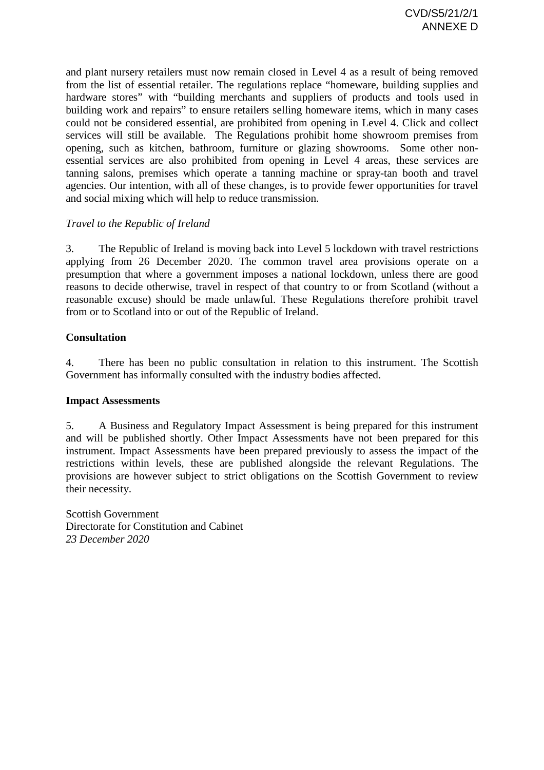and plant nursery retailers must now remain closed in Level 4 as a result of being removed from the list of essential retailer. The regulations replace "homeware, building supplies and hardware stores" with "building merchants and suppliers of products and tools used in building work and repairs" to ensure retailers selling homeware items, which in many cases could not be considered essential, are prohibited from opening in Level 4. Click and collect services will still be available. The Regulations prohibit home showroom premises from opening, such as kitchen, bathroom, furniture or glazing showrooms. Some other nonessential services are also prohibited from opening in Level 4 areas, these services are tanning salons, premises which operate a tanning machine or spray-tan booth and travel agencies. Our intention, with all of these changes, is to provide fewer opportunities for travel and social mixing which will help to reduce transmission.

# *Travel to the Republic of Ireland*

3. The Republic of Ireland is moving back into Level 5 lockdown with travel restrictions applying from 26 December 2020. The common travel area provisions operate on a presumption that where a government imposes a national lockdown, unless there are good reasons to decide otherwise, travel in respect of that country to or from Scotland (without a reasonable excuse) should be made unlawful. These Regulations therefore prohibit travel from or to Scotland into or out of the Republic of Ireland.

# **Consultation**

4. There has been no public consultation in relation to this instrument. The Scottish Government has informally consulted with the industry bodies affected.

# **Impact Assessments**

5. A Business and Regulatory Impact Assessment is being prepared for this instrument and will be published shortly. Other Impact Assessments have not been prepared for this instrument. Impact Assessments have been prepared previously to assess the impact of the restrictions within levels, these are published alongside the relevant Regulations. The provisions are however subject to strict obligations on the Scottish Government to review their necessity.

Scottish Government Directorate for Constitution and Cabinet *23 December 2020*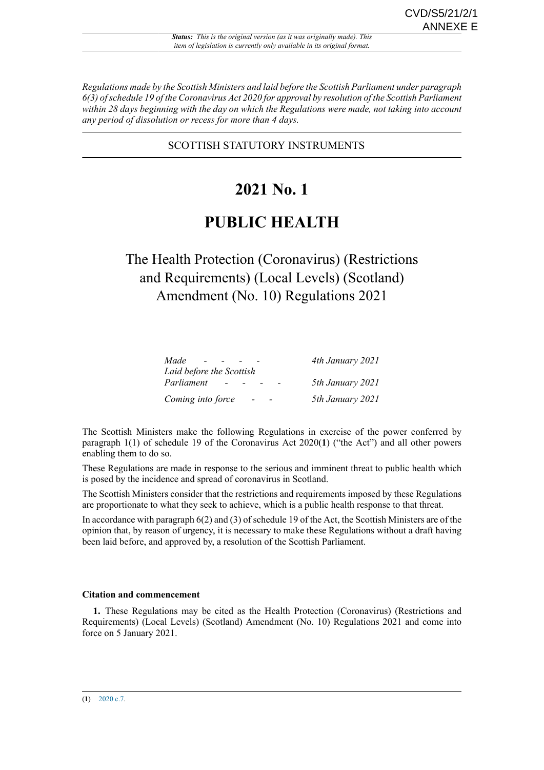*Regulations made by the Scottish Ministers and laid before the Scottish Parliament under paragraph 6(3) of schedule 19 of the Coronavirus Act 2020 for approval by resolution of the Scottish Parliament within 28 days beginning with the day on which the Regulations were made, not taking into account any period of dissolution or recess for more than 4 days.*

### SCOTTISH STATUTORY INSTRUMENTS

# **2021 No. 1**

# **PUBLIC HEALTH**

# The Health Protection (Coronavirus) (Restrictions and Requirements) (Local Levels) (Scotland) Amendment (No. 10) Regulations 2021

| Made<br>and the state of the state of | 4th January 2021 |
|---------------------------------------|------------------|
| Laid before the Scottish              |                  |
| Parliament                            | 5th January 2021 |
| Coming into force                     | 5th January 2021 |

The Scottish Ministers make the following Regulations in exercise of the power conferred by paragraph 1(1) of schedule 19 of the Coronavirus Act 2020(**1**) ("the Act") and all other powers enabling them to do so.

These Regulations are made in response to the serious and imminent threat to public health which is posed by the incidence and spread of coronavirus in Scotland.

The Scottish Ministers consider that the restrictions and requirements imposed by these Regulations are proportionate to what they seek to achieve, which is a public health response to that threat.

In accordance with paragraph 6(2) and (3) of schedule 19 of the Act, the Scottish Ministers are of the opinion that, by reason of urgency, it is necessary to make these Regulations without a draft having been laid before, and approved by, a resolution of the Scottish Parliament.

#### **Citation and commencement**

**1.** These Regulations may be cited as the Health Protection (Coronavirus) (Restrictions and Requirements) (Local Levels) (Scotland) Amendment (No. 10) Regulations 2021 and come into force on 5 January 2021.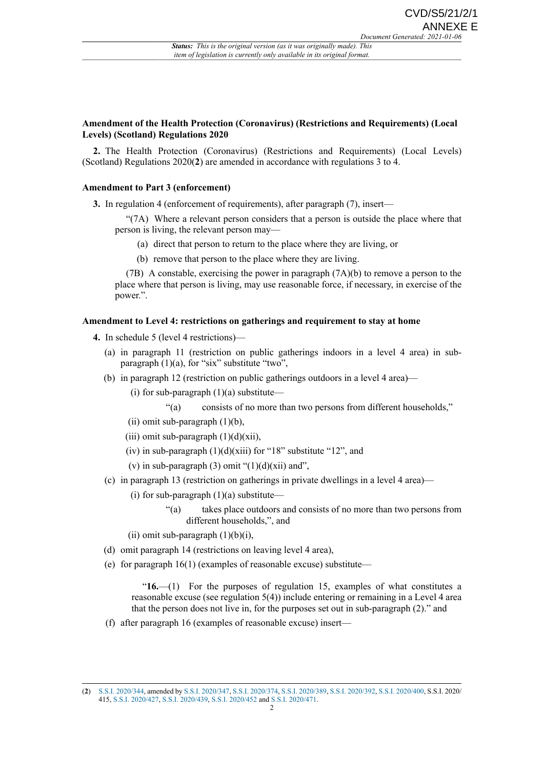#### **Amendment of the Health Protection (Coronavirus) (Restrictions and Requirements) (Local Levels) (Scotland) Regulations 2020**

**2.** The Health Protection (Coronavirus) (Restrictions and Requirements) (Local Levels) (Scotland) Regulations 2020(**2**) are amended in accordance with regulations 3 to 4.

#### **Amendment to Part 3 (enforcement)**

**3.** In regulation 4 (enforcement of requirements), after paragraph (7), insert—

"(7A) Where a relevant person considers that a person is outside the place where that person is living, the relevant person may—

- (a) direct that person to return to the place where they are living, or
- (b) remove that person to the place where they are living.

(7B) A constable, exercising the power in paragraph (7A)(b) to remove a person to the place where that person is living, may use reasonable force, if necessary, in exercise of the power.".

#### **Amendment to Level 4: restrictions on gatherings and requirement to stay at home**

- **4.** In schedule 5 (level 4 restrictions)—
	- (a) in paragraph 11 (restriction on public gatherings indoors in a level 4 area) in subparagraph  $(1)(a)$ , for "six" substitute "two",
	- (b) in paragraph 12 (restriction on public gatherings outdoors in a level 4 area)—
		- (i) for sub-paragraph  $(1)(a)$  substitute—

"(a) consists of no more than two persons from different households,"

- (ii) omit sub-paragraph (1)(b),
- (iii) omit sub-paragraph  $(1)(d)(xii)$ ,
- (iv) in sub-paragraph  $(1)(d)(xiii)$  for "18" substitute "12", and
- (v) in sub-paragraph (3) omit " $(1)(d)(xii)$  and",
- (c) in paragraph 13 (restriction on gatherings in private dwellings in a level 4 area)—
	- (i) for sub-paragraph  $(1)(a)$  substitute—

"(a) takes place outdoors and consists of no more than two persons from different households,", and

- (ii) omit sub-paragraph  $(1)(b)(i)$ ,
- (d) omit paragraph 14 (restrictions on leaving level 4 area),
- (e) for paragraph 16(1) (examples of reasonable excuse) substitute—

"**16.**—(1) For the purposes of regulation 15, examples of what constitutes a reasonable excuse (see regulation 5(4)) include entering or remaining in a Level 4 area that the person does not live in, for the purposes set out in sub-paragraph (2)." and

(f) after paragraph 16 (examples of reasonable excuse) insert—

<sup>(</sup>**2**) [S.S.I. 2020/344,](http://www.legislation.gov.uk/id/ssi/2020/344) amended by [S.S.I. 2020/347](http://www.legislation.gov.uk/id/ssi/2020/347), [S.S.I. 2020/374](http://www.legislation.gov.uk/id/ssi/2020/374), [S.S.I. 2020/389,](http://www.legislation.gov.uk/id/ssi/2020/389) [S.S.I. 2020/392,](http://www.legislation.gov.uk/id/ssi/2020/392) [S.S.I. 2020/400](http://www.legislation.gov.uk/id/ssi/2020/400), S.S.I. 2020/ 415, [S.S.I. 2020/427,](http://www.legislation.gov.uk/id/ssi/2020/427) [S.S.I. 2020/439,](http://www.legislation.gov.uk/id/ssi/2020/439) [S.S.I. 2020/452](http://www.legislation.gov.uk/id/ssi/2020/452) and [S.S.I. 2020/471.](http://www.legislation.gov.uk/id/ssi/2020/471)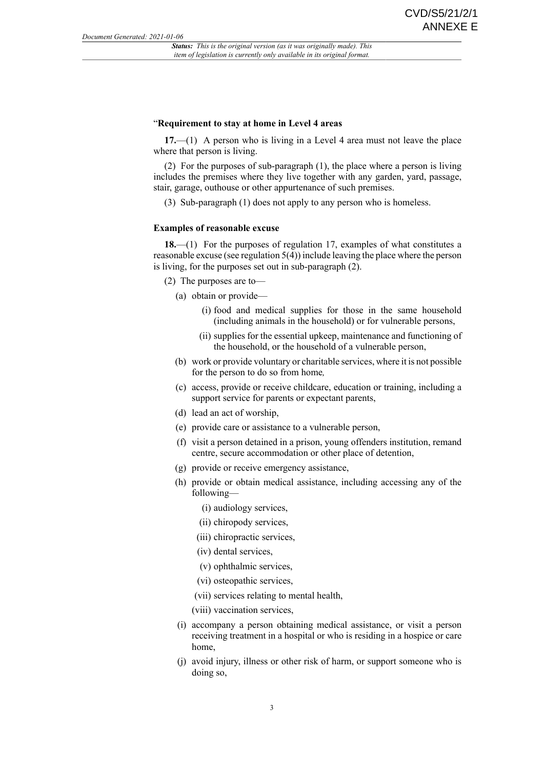#### "**Requirement to stay at home in Level 4 areas**

**17.**—(1) A person who is living in a Level 4 area must not leave the place where that person is living.

(2) For the purposes of sub-paragraph (1), the place where a person is living includes the premises where they live together with any garden, yard, passage, stair, garage, outhouse or other appurtenance of such premises.

(3) Sub-paragraph (1) does not apply to any person who is homeless.

#### **Examples of reasonable excuse**

18.—(1) For the purposes of regulation 17, examples of what constitutes a reasonable excuse (see regulation 5(4)) include leaving the place where the person is living, for the purposes set out in sub-paragraph (2).

- (2) The purposes are to—
	- (a) obtain or provide—
		- (i) food and medical supplies for those in the same household (including animals in the household) or for vulnerable persons,
		- (ii) supplies for the essential upkeep, maintenance and functioning of the household, or the household of a vulnerable person,
	- (b) work or provide voluntary or charitable services, where it is not possible for the person to do so from home*,*
	- (c) access, provide or receive childcare, education or training, including a support service for parents or expectant parents,
	- (d) lead an act of worship,
	- (e) provide care or assistance to a vulnerable person,
	- (f) visit a person detained in a prison, young offenders institution, remand centre, secure accommodation or other place of detention,
	- (g) provide or receive emergency assistance,
	- (h) provide or obtain medical assistance, including accessing any of the following—
		- (i) audiology services,
		- (ii) chiropody services,
		- (iii) chiropractic services,
		- (iv) dental services,
		- (v) ophthalmic services,
		- (vi) osteopathic services,
		- (vii) services relating to mental health,
		- (viii) vaccination services,
	- (i) accompany a person obtaining medical assistance, or visit a person receiving treatment in a hospital or who is residing in a hospice or care home,
	- (j) avoid injury, illness or other risk of harm, or support someone who is doing so,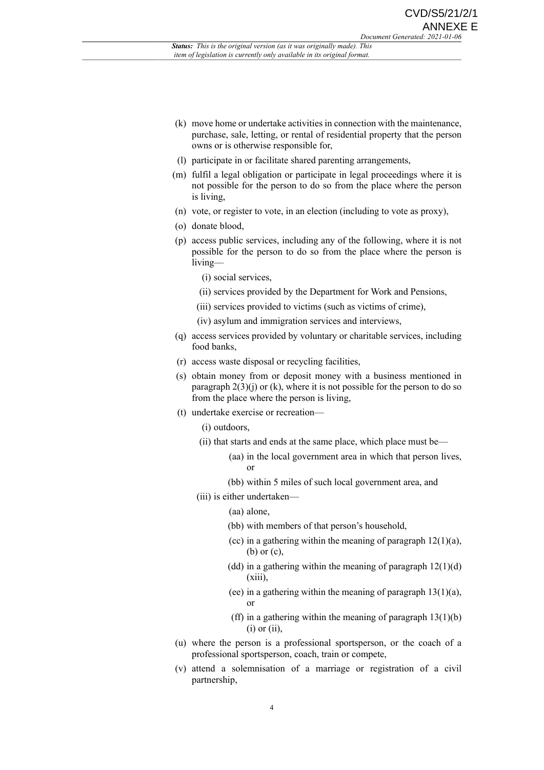- (k) move home or undertake activities in connection with the maintenance, purchase, sale, letting, or rental of residential property that the person owns or is otherwise responsible for,
- (l) participate in or facilitate shared parenting arrangements,
- (m) fulfil a legal obligation or participate in legal proceedings where it is not possible for the person to do so from the place where the person is living,
- (n) vote, or register to vote, in an election (including to vote as proxy),
- (o) donate blood,
- (p) access public services, including any of the following, where it is not possible for the person to do so from the place where the person is living—
	- (i) social services,
	- (ii) services provided by the Department for Work and Pensions,
	- (iii) services provided to victims (such as victims of crime),
	- (iv) asylum and immigration services and interviews,
- (q) access services provided by voluntary or charitable services, including food banks,
- (r) access waste disposal or recycling facilities,
- (s) obtain money from or deposit money with a business mentioned in paragraph  $2(3)(i)$  or (k), where it is not possible for the person to do so from the place where the person is living,
- (t) undertake exercise or recreation—
	- (i) outdoors,
	- (ii) that starts and ends at the same place, which place must be—
		- (aa) in the local government area in which that person lives, or
		- (bb) within 5 miles of such local government area, and
	- (iii) is either undertaken—
		- (aa) alone,
		- (bb) with members of that person's household,
		- (cc) in a gathering within the meaning of paragraph  $12(1)(a)$ , (b) or (c),
		- (dd) in a gathering within the meaning of paragraph  $12(1)(d)$ (xiii),
		- (ee) in a gathering within the meaning of paragraph 13(1)(a), or
		- (ff) in a gathering within the meaning of paragraph  $13(1)(b)$  $(i)$  or  $(ii)$ ,
- (u) where the person is a professional sportsperson, or the coach of a professional sportsperson, coach, train or compete,
- (v) attend a solemnisation of a marriage or registration of a civil partnership,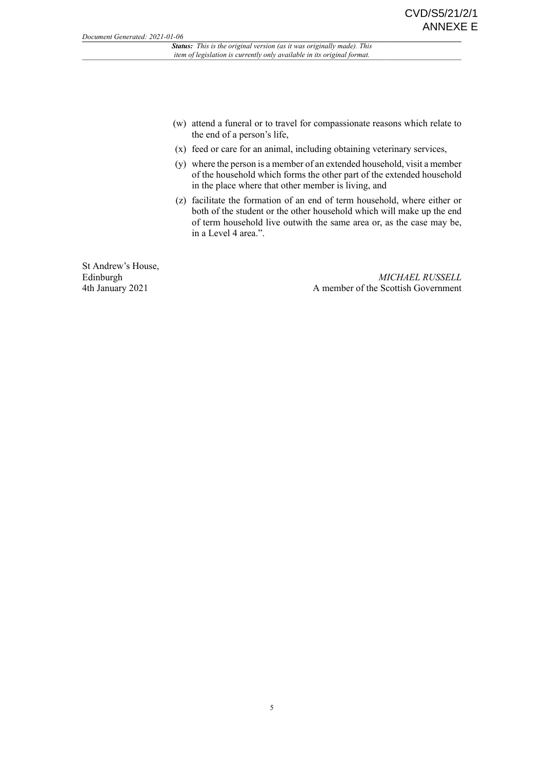*Status: This is the original version (as it was originally made). This item of legislation is currently only available in its original format.*

- (w) attend a funeral or to travel for compassionate reasons which relate to the end of a person's life,
- (x) feed or care for an animal, including obtaining veterinary services,
- (y) where the person is a member of an extended household, visit a member of the household which forms the other part of the extended household in the place where that other member is living, and
- (z) facilitate the formation of an end of term household, where either or both of the student or the other household which will make up the end of term household live outwith the same area or, as the case may be, in a Level 4 area.".

St Andrew's House, Edinburgh 4th January 2021

*MICHAEL RUSSELL* A member of the Scottish Government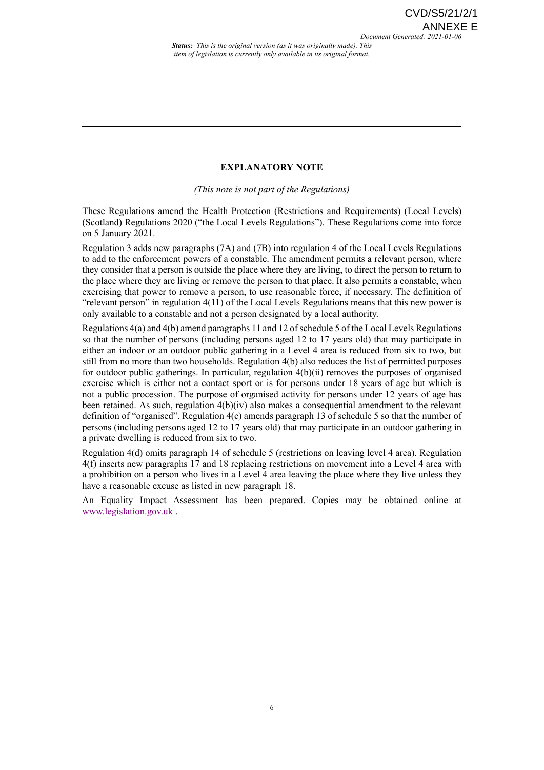*Status: This is the original version (as it was originally made). This item of legislation is currently only available in its original format.*

#### **EXPLANATORY NOTE**

*(This note is not part of the Regulations)*

These Regulations amend the Health Protection (Restrictions and Requirements) (Local Levels) (Scotland) Regulations 2020 ("the Local Levels Regulations"). These Regulations come into force on 5 January 2021.

Regulation 3 adds new paragraphs (7A) and (7B) into regulation 4 of the Local Levels Regulations to add to the enforcement powers of a constable. The amendment permits a relevant person, where they consider that a person is outside the place where they are living, to direct the person to return to the place where they are living or remove the person to that place. It also permits a constable, when exercising that power to remove a person, to use reasonable force, if necessary. The definition of "relevant person" in regulation 4(11) of the Local Levels Regulations means that this new power is only available to a constable and not a person designated by a local authority.

Regulations 4(a) and 4(b) amend paragraphs 11 and 12 of schedule 5 of the Local Levels Regulations so that the number of persons (including persons aged 12 to 17 years old) that may participate in either an indoor or an outdoor public gathering in a Level 4 area is reduced from six to two, but still from no more than two households. Regulation 4(b) also reduces the list of permitted purposes for outdoor public gatherings. In particular, regulation 4(b)(ii) removes the purposes of organised exercise which is either not a contact sport or is for persons under 18 years of age but which is not a public procession. The purpose of organised activity for persons under 12 years of age has been retained. As such, regulation  $4(b)(iv)$  also makes a consequential amendment to the relevant definition of "organised". Regulation 4(c) amends paragraph 13 of schedule 5 so that the number of persons (including persons aged 12 to 17 years old) that may participate in an outdoor gathering in a private dwelling is reduced from six to two.

Regulation 4(d) omits paragraph 14 of schedule 5 (restrictions on leaving level 4 area). Regulation 4(f) inserts new paragraphs 17 and 18 replacing restrictions on movement into a Level 4 area with a prohibition on a person who lives in a Level 4 area leaving the place where they live unless they have a reasonable excuse as listed in new paragraph 18.

An Equality Impact Assessment has been prepared. Copies may be obtained online at [www.legislation.gov.uk](http:// www.legislation.gov.uk) .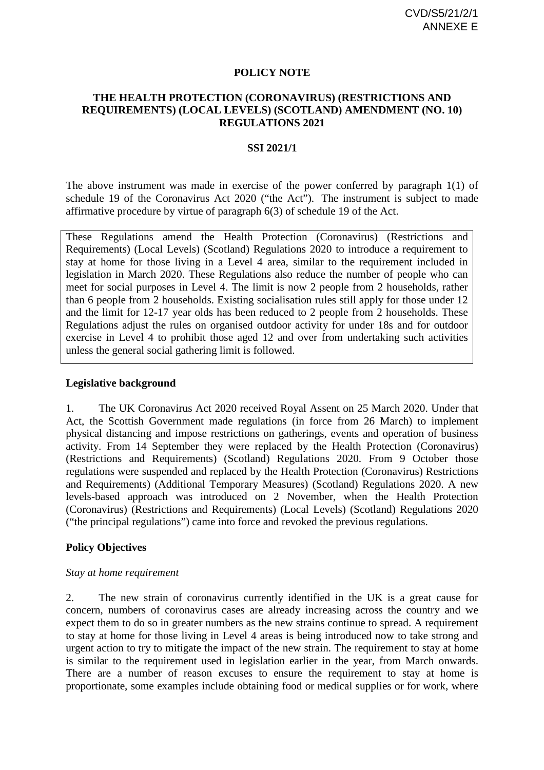## **POLICY NOTE**

## **THE HEALTH PROTECTION (CORONAVIRUS) (RESTRICTIONS AND REQUIREMENTS) (LOCAL LEVELS) (SCOTLAND) AMENDMENT (NO. 10) REGULATIONS 2021**

### **SSI 2021/1**

The above instrument was made in exercise of the power conferred by paragraph 1(1) of schedule 19 of the Coronavirus Act 2020 ("the Act"). The instrument is subject to made affirmative procedure by virtue of paragraph 6(3) of schedule 19 of the Act.

These Regulations amend the Health Protection (Coronavirus) (Restrictions and Requirements) (Local Levels) (Scotland) Regulations 2020 to introduce a requirement to stay at home for those living in a Level 4 area, similar to the requirement included in legislation in March 2020. These Regulations also reduce the number of people who can meet for social purposes in Level 4. The limit is now 2 people from 2 households, rather than 6 people from 2 households. Existing socialisation rules still apply for those under 12 and the limit for 12-17 year olds has been reduced to 2 people from 2 households. These Regulations adjust the rules on organised outdoor activity for under 18s and for outdoor exercise in Level 4 to prohibit those aged 12 and over from undertaking such activities unless the general social gathering limit is followed.

#### **Legislative background**

1. The UK Coronavirus Act 2020 received Royal Assent on 25 March 2020. Under that Act, the Scottish Government made regulations (in force from 26 March) to implement physical distancing and impose restrictions on gatherings, events and operation of business activity. From 14 September they were replaced by the Health Protection (Coronavirus) (Restrictions and Requirements) (Scotland) Regulations 2020. From 9 October those regulations were suspended and replaced by the Health Protection (Coronavirus) Restrictions and Requirements) (Additional Temporary Measures) (Scotland) Regulations 2020. A new levels-based approach was introduced on 2 November, when the Health Protection (Coronavirus) (Restrictions and Requirements) (Local Levels) (Scotland) Regulations 2020 ("the principal regulations") came into force and revoked the previous regulations.

### **Policy Objectives**

### *Stay at home requirement*

2. The new strain of coronavirus currently identified in the UK is a great cause for concern, numbers of coronavirus cases are already increasing across the country and we expect them to do so in greater numbers as the new strains continue to spread. A requirement to stay at home for those living in Level 4 areas is being introduced now to take strong and urgent action to try to mitigate the impact of the new strain. The requirement to stay at home is similar to the requirement used in legislation earlier in the year, from March onwards. There are a number of reason excuses to ensure the requirement to stay at home is proportionate, some examples include obtaining food or medical supplies or for work, where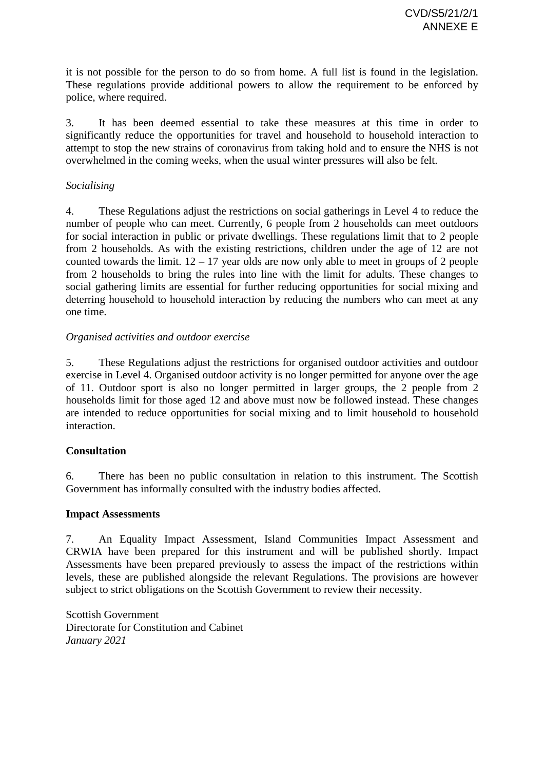it is not possible for the person to do so from home. A full list is found in the legislation. These regulations provide additional powers to allow the requirement to be enforced by police, where required.

3. It has been deemed essential to take these measures at this time in order to significantly reduce the opportunities for travel and household to household interaction to attempt to stop the new strains of coronavirus from taking hold and to ensure the NHS is not overwhelmed in the coming weeks, when the usual winter pressures will also be felt.

# *Socialising*

4. These Regulations adjust the restrictions on social gatherings in Level 4 to reduce the number of people who can meet. Currently, 6 people from 2 households can meet outdoors for social interaction in public or private dwellings. These regulations limit that to 2 people from 2 households. As with the existing restrictions, children under the age of 12 are not counted towards the limit.  $12 - 17$  year olds are now only able to meet in groups of 2 people from 2 households to bring the rules into line with the limit for adults. These changes to social gathering limits are essential for further reducing opportunities for social mixing and deterring household to household interaction by reducing the numbers who can meet at any one time.

## *Organised activities and outdoor exercise*

5. These Regulations adjust the restrictions for organised outdoor activities and outdoor exercise in Level 4. Organised outdoor activity is no longer permitted for anyone over the age of 11. Outdoor sport is also no longer permitted in larger groups, the 2 people from 2 households limit for those aged 12 and above must now be followed instead. These changes are intended to reduce opportunities for social mixing and to limit household to household interaction.

### **Consultation**

6. There has been no public consultation in relation to this instrument. The Scottish Government has informally consulted with the industry bodies affected.

### **Impact Assessments**

7. An Equality Impact Assessment, Island Communities Impact Assessment and CRWIA have been prepared for this instrument and will be published shortly. Impact Assessments have been prepared previously to assess the impact of the restrictions within levels, these are published alongside the relevant Regulations. The provisions are however subject to strict obligations on the Scottish Government to review their necessity.

Scottish Government Directorate for Constitution and Cabinet *January 2021*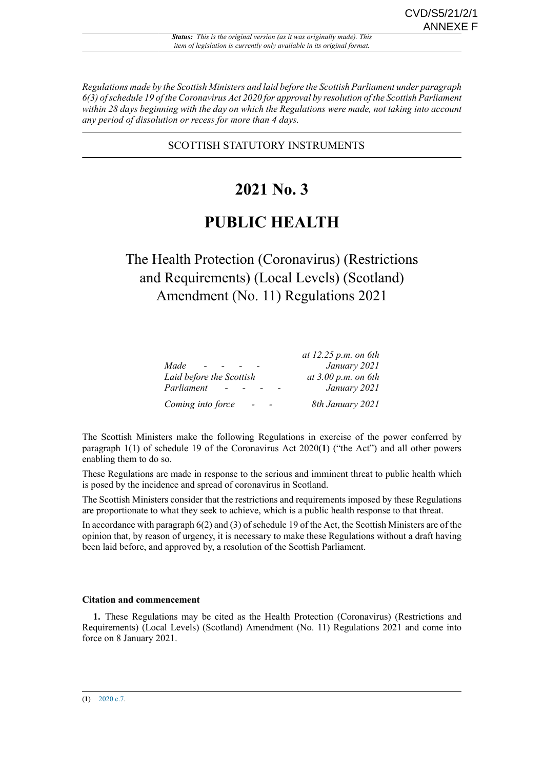*Regulations made by the Scottish Ministers and laid before the Scottish Parliament under paragraph 6(3) of schedule 19 of the Coronavirus Act 2020 for approval by resolution of the Scottish Parliament within 28 days beginning with the day on which the Regulations were made, not taking into account any period of dissolution or recess for more than 4 days.*

## SCOTTISH STATUTORY INSTRUMENTS

# **2021 No. 3**

# **PUBLIC HEALTH**

# The Health Protection (Coronavirus) (Restrictions and Requirements) (Local Levels) (Scotland) Amendment (No. 11) Regulations 2021

|                                       | at $12.25$ p.m. on 6th |
|---------------------------------------|------------------------|
| Made<br>and the state of the state of | January 2021           |
| Laid before the Scottish              | at $3.00 p.m.$ on 6th  |
| Parliament                            | January 2021           |
| Coming into force                     | 8th January 2021       |

The Scottish Ministers make the following Regulations in exercise of the power conferred by paragraph 1(1) of schedule 19 of the Coronavirus Act 2020(**1**) ("the Act") and all other powers enabling them to do so.

These Regulations are made in response to the serious and imminent threat to public health which is posed by the incidence and spread of coronavirus in Scotland.

The Scottish Ministers consider that the restrictions and requirements imposed by these Regulations are proportionate to what they seek to achieve, which is a public health response to that threat.

In accordance with paragraph 6(2) and (3) of schedule 19 of the Act, the Scottish Ministers are of the opinion that, by reason of urgency, it is necessary to make these Regulations without a draft having been laid before, and approved by, a resolution of the Scottish Parliament.

#### **Citation and commencement**

**1.** These Regulations may be cited as the Health Protection (Coronavirus) (Restrictions and Requirements) (Local Levels) (Scotland) Amendment (No. 11) Regulations 2021 and come into force on 8 January 2021.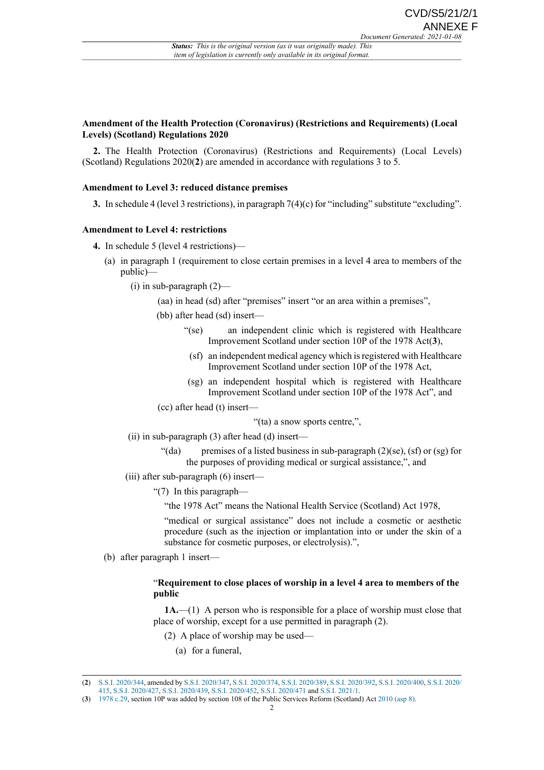#### **Amendment of the Health Protection (Coronavirus) (Restrictions and Requirements) (Local Levels) (Scotland) Regulations 2020**

**2.** The Health Protection (Coronavirus) (Restrictions and Requirements) (Local Levels) (Scotland) Regulations 2020(**2**) are amended in accordance with regulations 3 to 5.

#### **Amendment to Level 3: reduced distance premises**

**3.** In schedule 4 (level 3 restrictions), in paragraph  $7(4)(c)$  for "including" substitute "excluding".

#### **Amendment to Level 4: restrictions**

- **4.** In schedule 5 (level 4 restrictions)—
	- (a) in paragraph 1 (requirement to close certain premises in a level 4 area to members of the public)—
		- $(i)$  in sub-paragraph  $(2)$ 
			- (aa) in head (sd) after "premises" insert "or an area within a premises",
			- (bb) after head (sd) insert—
				- "(se) an independent clinic which is registered with Healthcare Improvement Scotland under section 10P of the 1978 Act(**3**),
				- (sf) an independent medical agency which is registered with Healthcare Improvement Scotland under section 10P of the 1978 Act,
				- (sg) an independent hospital which is registered with Healthcare Improvement Scotland under section 10P of the 1978 Act", and
			- (cc) after head (t) insert—

"(ta) a snow sports centre,",

- (ii) in sub-paragraph (3) after head (d) insert—
	- "(da) premises of a listed business in sub-paragraph  $(2)$ (se), (sf) or (sg) for the purposes of providing medical or surgical assistance,", and
- (iii) after sub-paragraph (6) insert—
	- "(7) In this paragraph—

"the 1978 Act" means the National Health Service (Scotland) Act 1978,

"medical or surgical assistance" does not include a cosmetic or aesthetic procedure (such as the injection or implantation into or under the skin of a substance for cosmetic purposes, or electrolysis).",

(b) after paragraph 1 insert—

#### "**Requirement to close places of worship in a level 4 area to members of the public**

**1A.**—(1) A person who is responsible for a place of worship must close that place of worship, except for a use permitted in paragraph (2).

- (2) A place of worship may be used—
	- (a) for a funeral,

<sup>(</sup>**2**) [S.S.I. 2020/344,](http://www.legislation.gov.uk/id/ssi/2020/344) amended by [S.S.I. 2020/347](http://www.legislation.gov.uk/id/ssi/2020/347), [S.S.I. 2020/374](http://www.legislation.gov.uk/id/ssi/2020/374), [S.S.I. 2020/389,](http://www.legislation.gov.uk/id/ssi/2020/389) [S.S.I. 2020/392,](http://www.legislation.gov.uk/id/ssi/2020/392) [S.S.I. 2020/400](http://www.legislation.gov.uk/id/ssi/2020/400), [S.S.I. 2020/](http://www.legislation.gov.uk/id/ssi/2020/415) [415](http://www.legislation.gov.uk/id/ssi/2020/415), [S.S.I. 2020/427,](http://www.legislation.gov.uk/id/ssi/2020/427) [S.S.I. 2020/439,](http://www.legislation.gov.uk/id/ssi/2020/439) [S.S.I. 2020/452](http://www.legislation.gov.uk/id/ssi/2020/452), [S.S.I. 2020/471](http://www.legislation.gov.uk/id/ssi/2020/471) and [S.S.I. 2021/1](http://www.legislation.gov.uk/id/ssi/2021/1).

<sup>(</sup>**3**) [1978 c.29,](http://www.legislation.gov.uk/id/ukpga/1978/29) section 10P was added by section 108 of the Public Services Reform (Scotland) Act [2010 \(asp 8\).](http://www.legislation.gov.uk/id/asp/2010/8)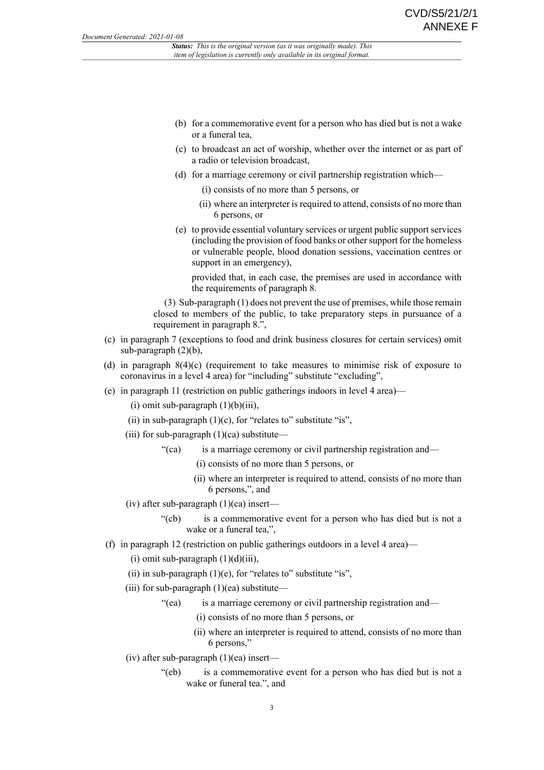*Status: This is the original version (as it was originally made). This item of legislation is currently only available in its original format.*

- (b) for a commemorative event for a person who has died but is not a wake or a funeral tea,
- (c) to broadcast an act of worship, whether over the internet or as part of a radio or television broadcast,
- (d) for a marriage ceremony or civil partnership registration which—
	- (i) consists of no more than 5 persons, or
	- (ii) where an interpreter is required to attend, consists of no more than 6 persons, or
- (e) to provide essential voluntary services or urgent public support services (including the provision of food banks or other support for the homeless or vulnerable people, blood donation sessions, vaccination centres or support in an emergency),

provided that, in each case, the premises are used in accordance with the requirements of paragraph 8.

(3) Sub-paragraph (1) does not prevent the use of premises, while those remain closed to members of the public, to take preparatory steps in pursuance of a requirement in paragraph 8.",

- (c) in paragraph 7 (exceptions to food and drink business closures for certain services) omit sub-paragraph (2)(b),
- (d) in paragraph  $8(4)(c)$  (requirement to take measures to minimise risk of exposure to coronavirus in a level 4 area) for "including" substitute "excluding",
- (e) in paragraph 11 (restriction on public gatherings indoors in level 4 area)—
	- (i) omit sub-paragraph  $(1)(b)(iii)$ ,
	- (ii) in sub-paragraph  $(1)(c)$ , for "relates to" substitute "is",
	- (iii) for sub-paragraph  $(1)(ca)$  substitute—
		- "(ca) is a marriage ceremony or civil partnership registration and—
			- (i) consists of no more than 5 persons, or
			- (ii) where an interpreter is required to attend, consists of no more than 6 persons,", and
	- (iv) after sub-paragraph (1)(ca) insert—
		- "(cb) is a commemorative event for a person who has died but is not a wake or a funeral tea,",
- (f) in paragraph 12 (restriction on public gatherings outdoors in a level 4 area)—
	- (i) omit sub-paragraph  $(1)(d)(iii)$ ,
	- (ii) in sub-paragraph  $(1)(e)$ , for "relates to" substitute "is",
	- (iii) for sub-paragraph  $(1)(ea)$  substitute—
		- "(ea) is a marriage ceremony or civil partnership registration and—
			- (i) consists of no more than 5 persons, or
			- (ii) where an interpreter is required to attend, consists of no more than 6 persons,"
	- (iv) after sub-paragraph (1)(ea) insert—
		- "(eb) is a commemorative event for a person who has died but is not a wake or funeral tea.", and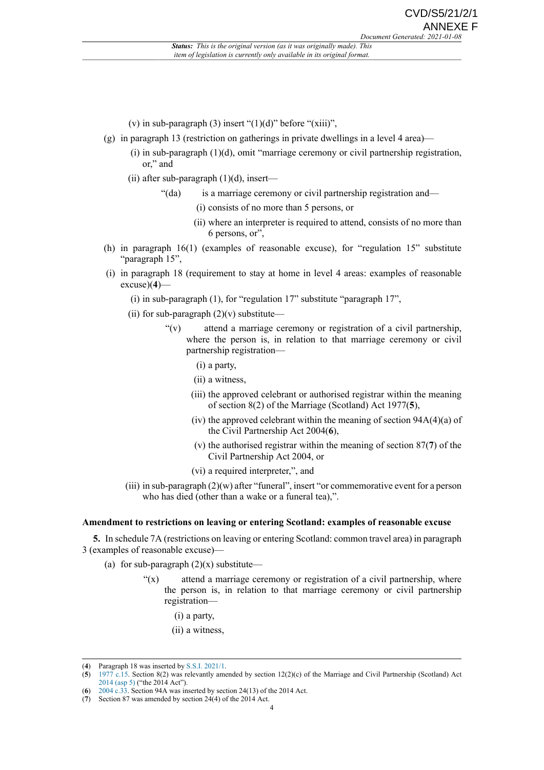(v) in sub-paragraph (3) insert " $(1)(d)$ " before " $(xiii)$ ",

- $(q)$  in paragraph 13 (restriction on gatherings in private dwellings in a level 4 area)—
	- (i) in sub-paragraph (1)(d), omit "marriage ceremony or civil partnership registration, or," and
	- (ii) after sub-paragraph  $(1)(d)$ , insert—
		- "(da) is a marriage ceremony or civil partnership registration and—
			- (i) consists of no more than 5 persons, or
			- (ii) where an interpreter is required to attend, consists of no more than 6 persons, or",
- (h) in paragraph 16(1) (examples of reasonable excuse), for "regulation 15" substitute "paragraph 15",
- (i) in paragraph 18 (requirement to stay at home in level 4 areas: examples of reasonable  $excase)(4)$ —
	- (i) in sub-paragraph (1), for "regulation 17" substitute "paragraph 17",
	- (ii) for sub-paragraph  $(2)(v)$  substitute
		- $f'(v)$  attend a marriage ceremony or registration of a civil partnership, where the person is, in relation to that marriage ceremony or civil partnership registration—
			- (i) a party,
			- (ii) a witness,
			- (iii) the approved celebrant or authorised registrar within the meaning of section 8(2) of the Marriage (Scotland) Act 1977(**5**),
			- (iv) the approved celebrant within the meaning of section  $94A(4)(a)$  of the Civil Partnership Act 2004(**6**),
			- (v) the authorised registrar within the meaning of section 87(**7**) of the Civil Partnership Act 2004, or
			- (vi) a required interpreter,", and
	- (iii) in sub-paragraph  $(2)(w)$  after "funeral", insert "or commemorative event for a person who has died (other than a wake or a funeral tea),".

#### **Amendment to restrictions on leaving or entering Scotland: examples of reasonable excuse**

**5.** In schedule 7A (restrictions on leaving or entering Scotland: common travel area) in paragraph 3 (examples of reasonable excuse)—

- (a) for sub-paragraph  $(2)(x)$  substitute—
	- "(x) attend a marriage ceremony or registration of a civil partnership, where the person is, in relation to that marriage ceremony or civil partnership registration—
		- (i) a party,
		- (ii) a witness,

<sup>(</sup>**4**) Paragraph 18 was inserted by [S.S.I. 2021/1.](http://www.legislation.gov.uk/id/ssi/2021/1)

<sup>(</sup>**5**) [1977 c.15](http://www.legislation.gov.uk/id/ukpga/1977/15). Section 8(2) was relevantly amended by section 12(2)(c) of the Marriage and Civil Partnership (Scotland) Act [2014 \(asp 5\)](http://www.legislation.gov.uk/id/asp/2014/5) ("the 2014 Act").

<sup>(</sup>**6**) [2004 c.33.](http://www.legislation.gov.uk/id/ukpga/2004/33) Section 94A was inserted by section 24(13) of the 2014 Act.

<sup>(</sup>**7**) Section 87 was amended by section 24(4) of the 2014 Act.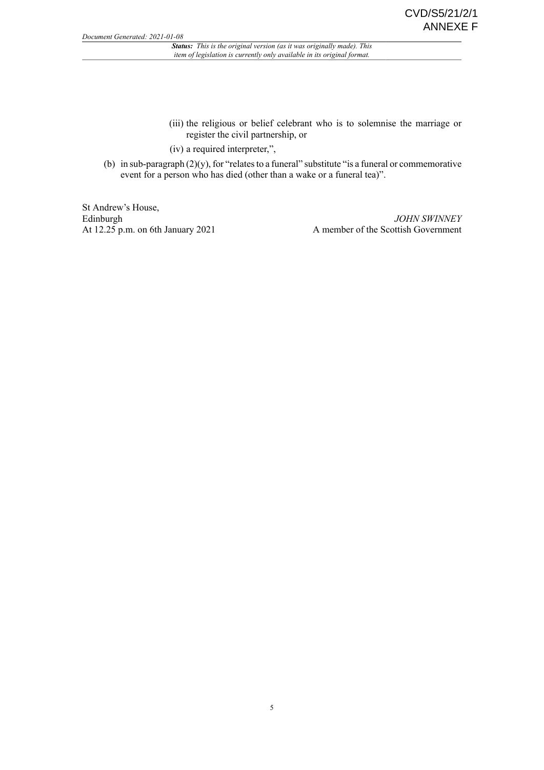*Status: This is the original version (as it was originally made). This item of legislation is currently only available in its original format.*

- (iii) the religious or belief celebrant who is to solemnise the marriage or register the civil partnership, or
- (iv) a required interpreter,",
- (b) in sub-paragraph  $(2)(y)$ , for "relates to a funeral" substitute "is a funeral or commemorative event for a person who has died (other than a wake or a funeral tea)".

St Andrew's House, Edinburgh At 12.25 p.m. on 6th January 2021

*JOHN SWINNEY* A member of the Scottish Government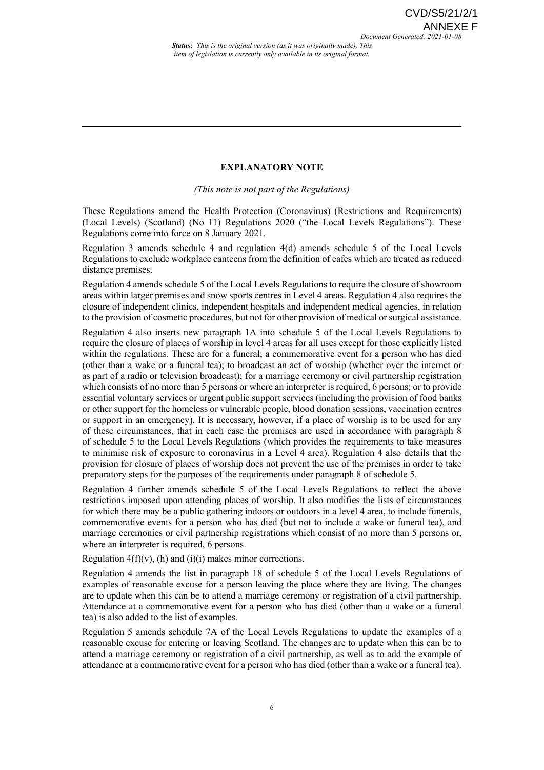#### **EXPLANATORY NOTE**

*(This note is not part of the Regulations)*

These Regulations amend the Health Protection (Coronavirus) (Restrictions and Requirements) (Local Levels) (Scotland) (No 11) Regulations 2020 ("the Local Levels Regulations"). These Regulations come into force on 8 January 2021.

Regulation 3 amends schedule 4 and regulation 4(d) amends schedule 5 of the Local Levels Regulations to exclude workplace canteens from the definition of cafes which are treated as reduced distance premises.

Regulation 4 amends schedule 5 of the Local Levels Regulations to require the closure of showroom areas within larger premises and snow sports centres in Level 4 areas. Regulation 4 also requires the closure of independent clinics, independent hospitals and independent medical agencies, in relation to the provision of cosmetic procedures, but not for other provision of medical or surgical assistance.

Regulation 4 also inserts new paragraph 1A into schedule 5 of the Local Levels Regulations to require the closure of places of worship in level 4 areas for all uses except for those explicitly listed within the regulations. These are for a funeral; a commemorative event for a person who has died (other than a wake or a funeral tea); to broadcast an act of worship (whether over the internet or as part of a radio or television broadcast); for a marriage ceremony or civil partnership registration which consists of no more than 5 persons or where an interpreter is required, 6 persons; or to provide essential voluntary services or urgent public support services (including the provision of food banks or other support for the homeless or vulnerable people, blood donation sessions, vaccination centres or support in an emergency). It is necessary, however, if a place of worship is to be used for any of these circumstances, that in each case the premises are used in accordance with paragraph 8 of schedule 5 to the Local Levels Regulations (which provides the requirements to take measures to minimise risk of exposure to coronavirus in a Level 4 area). Regulation 4 also details that the provision for closure of places of worship does not prevent the use of the premises in order to take preparatory steps for the purposes of the requirements under paragraph 8 of schedule 5.

Regulation 4 further amends schedule 5 of the Local Levels Regulations to reflect the above restrictions imposed upon attending places of worship. It also modifies the lists of circumstances for which there may be a public gathering indoors or outdoors in a level 4 area, to include funerals, commemorative events for a person who has died (but not to include a wake or funeral tea), and marriage ceremonies or civil partnership registrations which consist of no more than 5 persons or, where an interpreter is required, 6 persons.

Regulation  $4(f)(v)$ , (h) and (i)(i) makes minor corrections.

Regulation 4 amends the list in paragraph 18 of schedule 5 of the Local Levels Regulations of examples of reasonable excuse for a person leaving the place where they are living. The changes are to update when this can be to attend a marriage ceremony or registration of a civil partnership. Attendance at a commemorative event for a person who has died (other than a wake or a funeral tea) is also added to the list of examples.

Regulation 5 amends schedule 7A of the Local Levels Regulations to update the examples of a reasonable excuse for entering or leaving Scotland. The changes are to update when this can be to attend a marriage ceremony or registration of a civil partnership, as well as to add the example of attendance at a commemorative event for a person who has died (other than a wake or a funeral tea).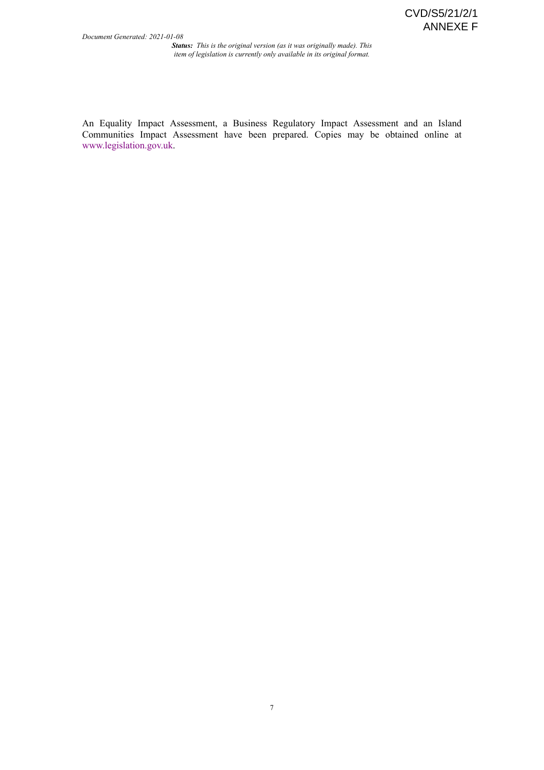*Status: This is the original version (as it was originally made). This item of legislation is currently only available in its original format.*

An Equality Impact Assessment, a Business Regulatory Impact Assessment and an Island Communities Impact Assessment have been prepared. Copies may be obtained online at [www.legislation.gov.uk](http://www.legislation.gov.uk).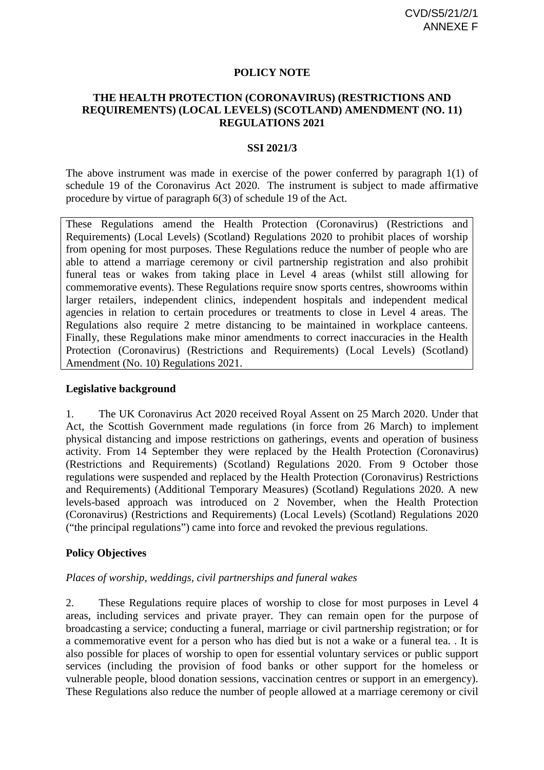## **POLICY NOTE**

### **THE HEALTH PROTECTION (CORONAVIRUS) (RESTRICTIONS AND REQUIREMENTS) (LOCAL LEVELS) (SCOTLAND) AMENDMENT (NO. 11) REGULATIONS 2021**

#### **SSI 2021/3**

The above instrument was made in exercise of the power conferred by paragraph 1(1) of schedule 19 of the Coronavirus Act 2020. The instrument is subject to made affirmative procedure by virtue of paragraph 6(3) of schedule 19 of the Act.

These Regulations amend the Health Protection (Coronavirus) (Restrictions and Requirements) (Local Levels) (Scotland) Regulations 2020 to prohibit places of worship from opening for most purposes. These Regulations reduce the number of people who are able to attend a marriage ceremony or civil partnership registration and also prohibit funeral teas or wakes from taking place in Level 4 areas (whilst still allowing for commemorative events). These Regulations require snow sports centres, showrooms within larger retailers, independent clinics, independent hospitals and independent medical agencies in relation to certain procedures or treatments to close in Level 4 areas. The Regulations also require 2 metre distancing to be maintained in workplace canteens. Finally, these Regulations make minor amendments to correct inaccuracies in the Health Protection (Coronavirus) (Restrictions and Requirements) (Local Levels) (Scotland) Amendment (No. 10) Regulations 2021.

### **Legislative background**

1. The UK Coronavirus Act 2020 received Royal Assent on 25 March 2020. Under that Act, the Scottish Government made regulations (in force from 26 March) to implement physical distancing and impose restrictions on gatherings, events and operation of business activity. From 14 September they were replaced by the Health Protection (Coronavirus) (Restrictions and Requirements) (Scotland) Regulations 2020. From 9 October those regulations were suspended and replaced by the Health Protection (Coronavirus) Restrictions and Requirements) (Additional Temporary Measures) (Scotland) Regulations 2020. A new levels-based approach was introduced on 2 November, when the Health Protection (Coronavirus) (Restrictions and Requirements) (Local Levels) (Scotland) Regulations 2020 ("the principal regulations") came into force and revoked the previous regulations.

### **Policy Objectives**

### *Places of worship, weddings, civil partnerships and funeral wakes*

2. These Regulations require places of worship to close for most purposes in Level 4 areas, including services and private prayer. They can remain open for the purpose of broadcasting a service; conducting a funeral, marriage or civil partnership registration; or for a commemorative event for a person who has died but is not a wake or a funeral tea. . It is also possible for places of worship to open for essential voluntary services or public support services (including the provision of food banks or other support for the homeless or vulnerable people, blood donation sessions, vaccination centres or support in an emergency). These Regulations also reduce the number of people allowed at a marriage ceremony or civil